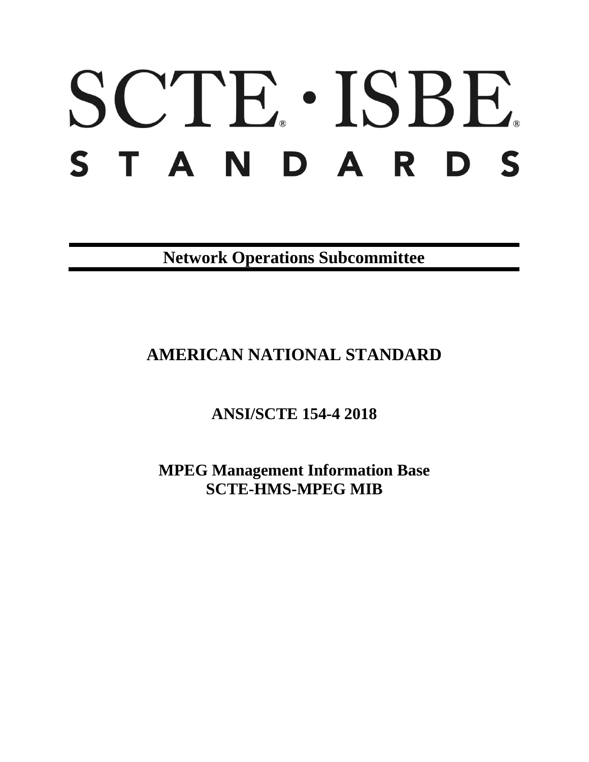# SCTE · ISBE. STANDARDS

**Network Operations Subcommittee**

# **AMERICAN NATIONAL STANDARD**

**ANSI/SCTE 154-4 2018**

**MPEG Management Information Base SCTE-HMS-MPEG MIB**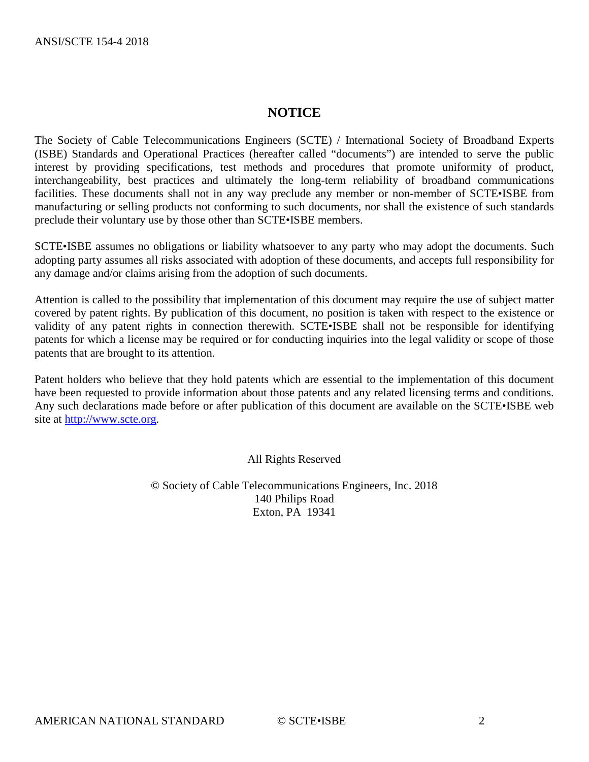# **NOTICE**

The Society of Cable Telecommunications Engineers (SCTE) / International Society of Broadband Experts (ISBE) Standards and Operational Practices (hereafter called "documents") are intended to serve the public interest by providing specifications, test methods and procedures that promote uniformity of product, interchangeability, best practices and ultimately the long-term reliability of broadband communications facilities. These documents shall not in any way preclude any member or non-member of SCTE•ISBE from manufacturing or selling products not conforming to such documents, nor shall the existence of such standards preclude their voluntary use by those other than SCTE•ISBE members.

SCTE•ISBE assumes no obligations or liability whatsoever to any party who may adopt the documents. Such adopting party assumes all risks associated with adoption of these documents, and accepts full responsibility for any damage and/or claims arising from the adoption of such documents.

Attention is called to the possibility that implementation of this document may require the use of subject matter covered by patent rights. By publication of this document, no position is taken with respect to the existence or validity of any patent rights in connection therewith. SCTE•ISBE shall not be responsible for identifying patents for which a license may be required or for conducting inquiries into the legal validity or scope of those patents that are brought to its attention.

Patent holders who believe that they hold patents which are essential to the implementation of this document have been requested to provide information about those patents and any related licensing terms and conditions. Any such declarations made before or after publication of this document are available on the SCTE•ISBE web site at [http://www.scte.org.](http://www.scte.org/)

All Rights Reserved

© Society of Cable Telecommunications Engineers, Inc. 2018 140 Philips Road Exton, PA 19341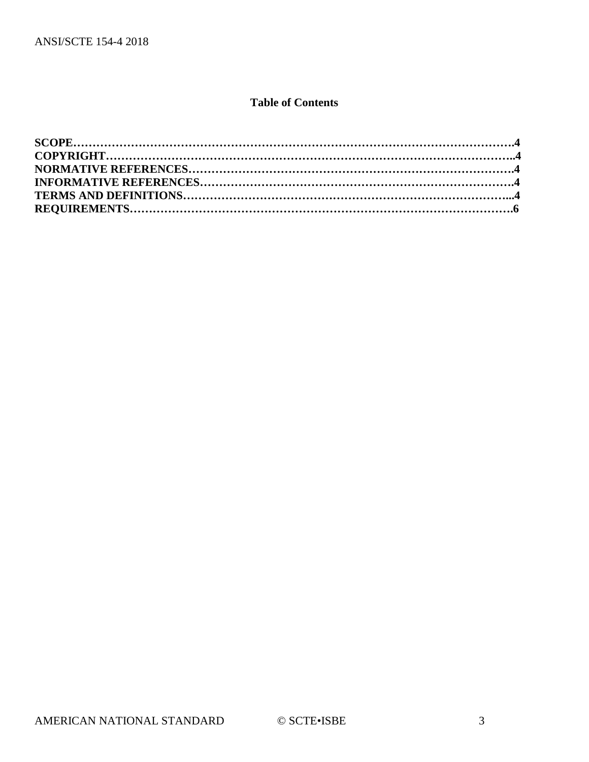# **Table of Contents**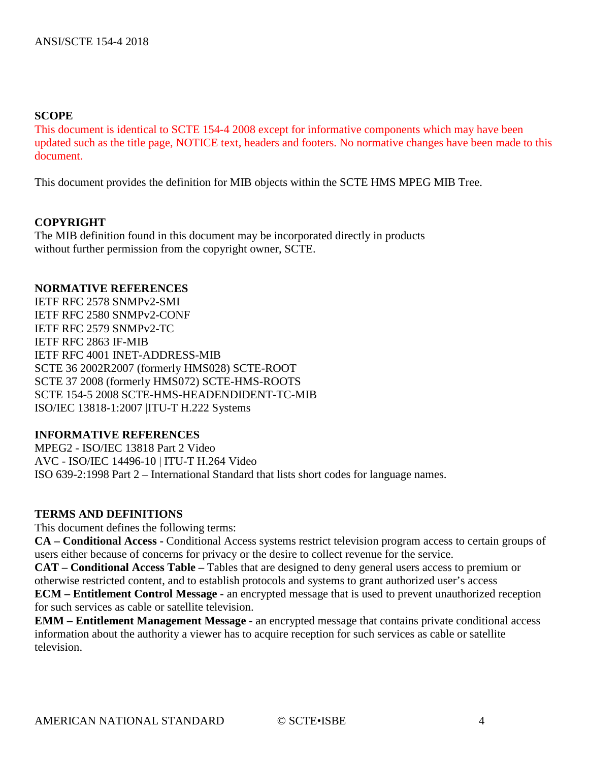#### **SCOPE**

This document is identical to SCTE 154-4 2008 except for informative components which may have been updated such as the title page, NOTICE text, headers and footers. No normative changes have been made to this document.

This document provides the definition for MIB objects within the SCTE HMS MPEG MIB Tree.

## **COPYRIGHT**

The MIB definition found in this document may be incorporated directly in products without further permission from the copyright owner, SCTE.

#### **NORMATIVE REFERENCES**

IETF RFC 2578 SNMPv2-SMI IETF RFC 2580 SNMPv2-CONF IETF RFC 2579 SNMPv2-TC IETF RFC 2863 IF-MIB IETF RFC 4001 INET-ADDRESS-MIB SCTE 36 2002R2007 (formerly HMS028) SCTE-ROOT SCTE 37 2008 (formerly HMS072) SCTE-HMS-ROOTS SCTE 154-5 2008 SCTE-HMS-HEADENDIDENT-TC-MIB ISO/IEC 13818-1:2007 |ITU-T H.222 Systems

#### **INFORMATIVE REFERENCES**

MPEG2 - ISO/IEC 13818 Part 2 Video AVC - ISO/IEC 14496-10 | ITU-T H.264 Video ISO 639-2:1998 Part 2 – International Standard that lists short codes for language names.

#### **TERMS AND DEFINITIONS**

This document defines the following terms:

**CA – Conditional Access -** Conditional Access systems restrict television program access to certain groups of users either because of concerns for privacy or the desire to collect revenue for the service.

**CAT – Conditional Access Table –** Tables that are designed to deny general users access to premium or otherwise restricted content, and to establish protocols and systems to grant authorized user's access

**ECM – Entitlement Control Message -** an encrypted message that is used to prevent unauthorized reception for such services as cable or satellite television.

**EMM – Entitlement Management Message -** an encrypted message that contains private conditional access information about the authority a viewer has to acquire reception for such services as cable or satellite television.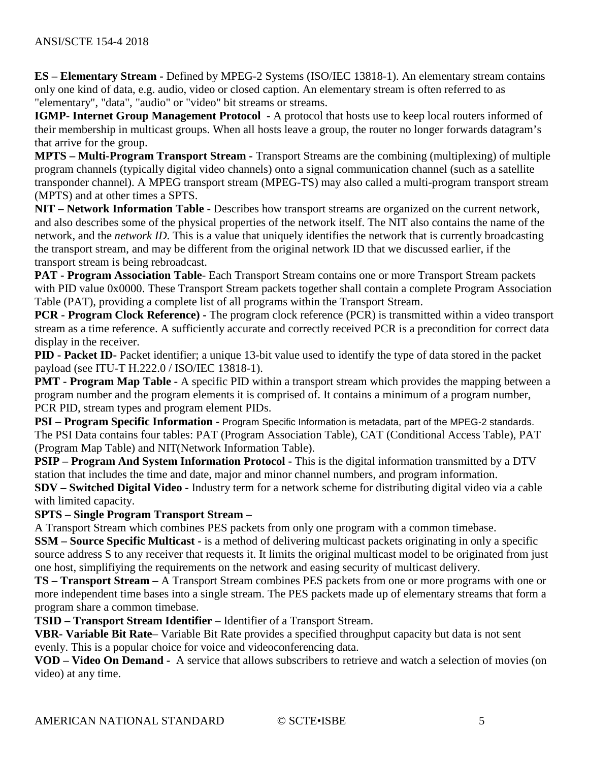**ES – Elementary Stream -** Defined by MPEG-2 Systems (ISO/IEC 13818-1). An elementary stream contains only one kind of data, e.g. audio, video or closed caption. An elementary stream is often referred to as "elementary", "data", "audio" or "video" bit streams or streams.

**IGMP- Internet Group Management Protocol -** A protocol that hosts use to keep local routers informed of their membership in multicast groups. When all hosts leave a group, the router no longer forwards datagram's that arrive for the group.

**MPTS – Multi-Program Transport Stream -** Transport Streams are the combining (multiplexing) of multiple program channels (typically digital video channels) onto a signal communication channel (such as a satellite transponder channel). A MPEG transport stream (MPEG-TS) may also called a multi-program transport stream (MPTS) and at other times a SPTS.

**NIT – Network Information Table -** Describes how transport streams are organized on the current network, and also describes some of the physical properties of the network itself. The NIT also contains the name of the network, and the *network ID*. This is a value that uniquely identifies the network that is currently broadcasting the transport stream, and may be different from the original network ID that we discussed earlier, if the transport stream is being rebroadcast.

**PAT - Program Association Table**- Each Transport Stream contains one or more Transport Stream packets with PID value 0x0000. These Transport Stream packets together shall contain a complete Program Association Table (PAT), providing a complete list of all programs within the Transport Stream.

**PCR - Program Clock Reference) -** The program clock reference (PCR) is transmitted within a video transport stream as a time reference. A sufficiently accurate and correctly received PCR is a precondition for correct data display in the receiver.

**PID - Packet ID-** Packet identifier; a unique 13-bit value used to identify the type of data stored in the packet payload (see ITU-T H.222.0 / ISO/IEC 13818-1).

**PMT - Program Map Table -** A specific PID within a transport stream which provides the mapping between a program number and the program elements it is comprised of. It contains a minimum of a program number, PCR PID, stream types and program element PIDs.

**PSI – Program Specific Information -** Program Specific Information is metadata, part of the MPEG-2 standards. The PSI Data contains four tables: PAT (Program Association Table), CAT (Conditional Access Table), PAT (Program Map Table) and NIT(Network Information Table).

**PSIP – Program And System Information Protocol -** This is the digital information transmitted by a DTV station that includes the time and date, major and minor channel numbers, and program information.

**SDV – Switched Digital Video -** Industry term for a network scheme for distributing digital video via a cable with limited capacity.

# **SPTS – Single Program Transport Stream –**

A Transport Stream which combines PES packets from only one program with a common timebase.

**SSM – Source Specific Multicast -** is a method of delivering multicast packets originating in only a specific source address S to any receiver that requests it. It limits the original multicast model to be originated from just one host, simplifiying the requirements on the network and easing security of multicast delivery.

**TS – Transport Stream –** A Transport Stream combines PES packets from one or more programs with one or more independent time bases into a single stream. The PES packets made up of elementary streams that form a program share a common timebase.

**TSID – Transport Stream Identifier** – Identifier of a Transport Stream.

**VBR- Variable Bit Rate**– Variable Bit Rate provides a specified throughput capacity but data is not sent evenly. This is a popular choice for voice and videoconferencing data.

**VOD – Video On Demand -** A service that allows subscribers to retrieve and watch a selection of movies (on video) at any time.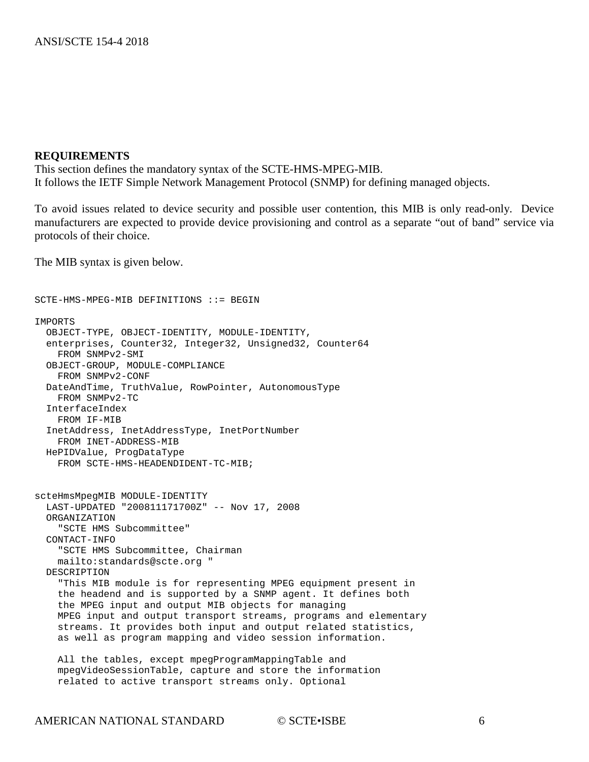#### **REQUIREMENTS**

This section defines the mandatory syntax of the SCTE-HMS-MPEG-MIB. It follows the IETF Simple Network Management Protocol (SNMP) for defining managed objects.

To avoid issues related to device security and possible user contention, this MIB is only read-only. Device manufacturers are expected to provide device provisioning and control as a separate "out of band" service via protocols of their choice.

The MIB syntax is given below.

```
SCTE-HMS-MPEG-MIB DEFINITIONS ::= BEGIN
IMPORTS
  OBJECT-TYPE, OBJECT-IDENTITY, MODULE-IDENTITY, 
  enterprises, Counter32, Integer32, Unsigned32, Counter64
     FROM SNMPv2-SMI
  OBJECT-GROUP, MODULE-COMPLIANCE
     FROM SNMPv2-CONF
  DateAndTime, TruthValue, RowPointer, AutonomousType 
    FROM SNMPv2-TC
   InterfaceIndex
     FROM IF-MIB
   InetAddress, InetAddressType, InetPortNumber
     FROM INET-ADDRESS-MIB
  HePIDValue, ProgDataType 
     FROM SCTE-HMS-HEADENDIDENT-TC-MIB;
scteHmsMpegMIB MODULE-IDENTITY
  LAST-UPDATED "200811171700Z" -- Nov 17, 2008
  ORGANIZATION 
     "SCTE HMS Subcommittee"
  CONTACT-INFO 
     "SCTE HMS Subcommittee, Chairman
     mailto:standards@scte.org "
  DESCRIPTION 
     "This MIB module is for representing MPEG equipment present in
     the headend and is supported by a SNMP agent. It defines both 
     the MPEG input and output MIB objects for managing
     MPEG input and output transport streams, programs and elementary 
     streams. It provides both input and output related statistics,
     as well as program mapping and video session information. 
    All the tables, except mpegProgramMappingTable and 
     mpegVideoSessionTable, capture and store the information
     related to active transport streams only. Optional
```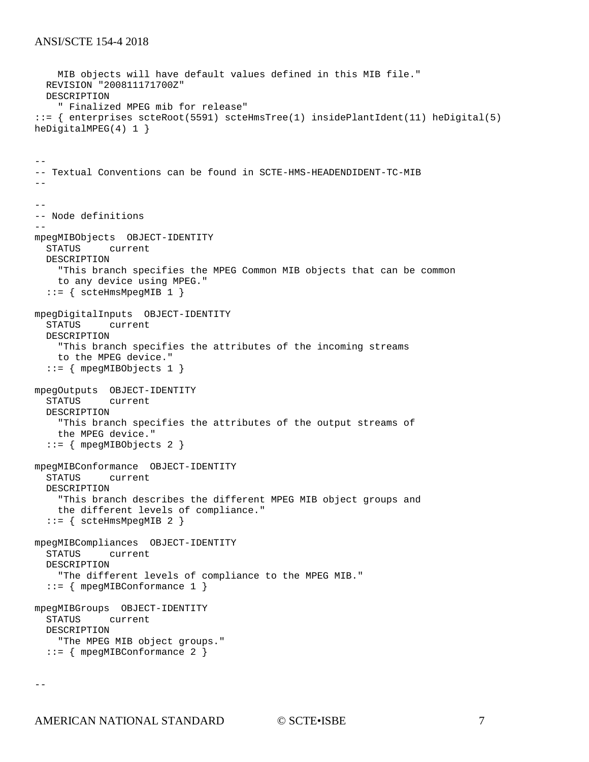```
 MIB objects will have default values defined in this MIB file." 
   REVISION "200811171700Z"
   DESCRIPTION 
     " Finalized MPEG mib for release" 
::= { enterprises scteRoot(5591) scteHmsTree(1) insidePlantIdent(11) heDigital(5) 
heDigitalMPEG(4) 1 }
--
-- Textual Conventions can be found in SCTE-HMS-HEADENDIDENT-TC-MIB
--
--- Node definitions
--
mpegMIBObjects OBJECT-IDENTITY
   STATUS current
   DESCRIPTION 
     "This branch specifies the MPEG Common MIB objects that can be common
     to any device using MPEG."
  ::= { scteHmsMpeqMIB 1 }
mpegDigitalInputs OBJECT-IDENTITY
   STATUS current
   DESCRIPTION 
     "This branch specifies the attributes of the incoming streams
     to the MPEG device."
   ::= { mpegMIBObjects 1 }
mpegOutputs OBJECT-IDENTITY
            current
   DESCRIPTION 
     "This branch specifies the attributes of the output streams of
     the MPEG device."
   ::= { mpegMIBObjects 2 }
mpegMIBConformance OBJECT-IDENTITY
            current
   DESCRIPTION 
     "This branch describes the different MPEG MIB object groups and
     the different levels of compliance."
   ::= { scteHmsMpegMIB 2 }
mpegMIBCompliances OBJECT-IDENTITY
          current
   DESCRIPTION 
     "The different levels of compliance to the MPEG MIB."
   ::= { mpegMIBConformance 1 }
mpegMIBGroups OBJECT-IDENTITY
          current
   DESCRIPTION 
     "The MPEG MIB object groups."
  ::= { mpeqMIBConformance 2 }
```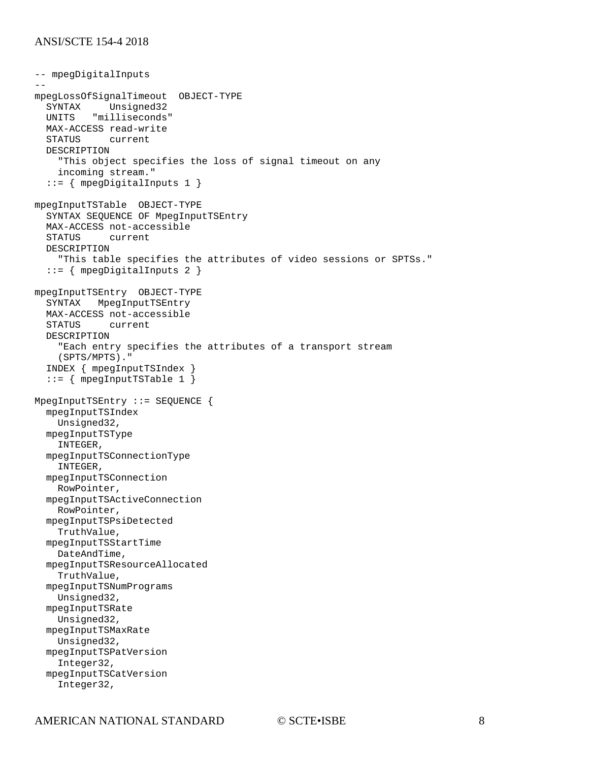```
-- mpegDigitalInputs
--
mpegLossOfSignalTimeout OBJECT-TYPE
  SYNTAX Unsigned32<br>UNITS "milliseconds
        "milliseconds"
   MAX-ACCESS read-write
   STATUS current
   DESCRIPTION 
     "This object specifies the loss of signal timeout on any
     incoming stream."
   ::= { mpegDigitalInputs 1 }
mpegInputTSTable OBJECT-TYPE
   SYNTAX SEQUENCE OF MpegInputTSEntry
   MAX-ACCESS not-accessible
   STATUS current
   DESCRIPTION 
     "This table specifies the attributes of video sessions or SPTSs."
   ::= { mpegDigitalInputs 2 }
mpegInputTSEntry OBJECT-TYPE
   SYNTAX MpegInputTSEntry
   MAX-ACCESS not-accessible
   STATUS current
   DESCRIPTION 
     "Each entry specifies the attributes of a transport stream
     (SPTS/MPTS)."
   INDEX { mpegInputTSIndex }
   ::= { mpegInputTSTable 1 }
MpegInputTSEntry ::= SEQUENCE {
   mpegInputTSIndex
     Unsigned32,
   mpegInputTSType
     INTEGER,
   mpegInputTSConnectionType
     INTEGER,
   mpegInputTSConnection
     RowPointer,
   mpegInputTSActiveConnection
    RowPointer,
   mpegInputTSPsiDetected
     TruthValue,
   mpegInputTSStartTime
     DateAndTime,
   mpegInputTSResourceAllocated
     TruthValue,
   mpegInputTSNumPrograms
    Unsigned32,
   mpegInputTSRate
     Unsigned32,
   mpegInputTSMaxRate
     Unsigned32,
   mpegInputTSPatVersion
     Integer32,
   mpegInputTSCatVersion
     Integer32,
```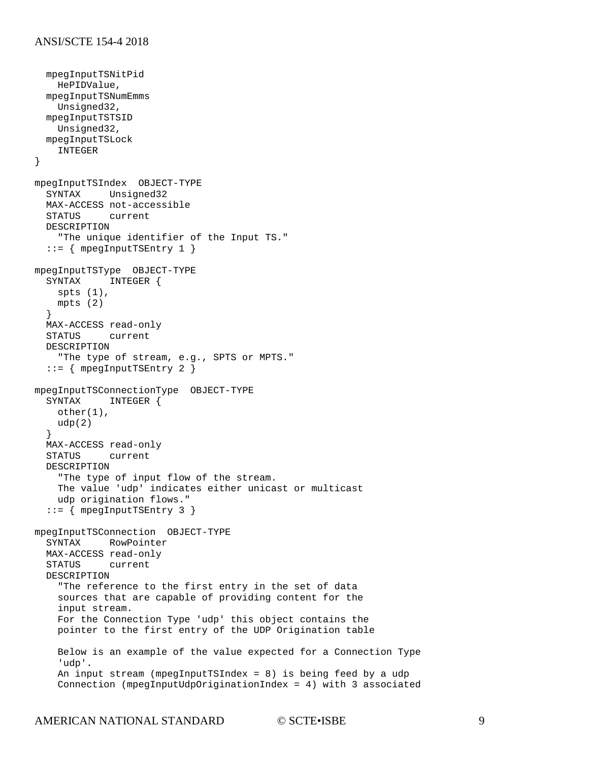```
 mpegInputTSNitPid
     HePIDValue,
   mpegInputTSNumEmms
     Unsigned32,
   mpegInputTSTSID
    Unsigned32,
   mpegInputTSLock
     INTEGER
}
mpegInputTSIndex OBJECT-TYPE
           Unsigned32
   MAX-ACCESS not-accessible
           current
   DESCRIPTION 
     "The unique identifier of the Input TS."
   ::= { mpegInputTSEntry 1 }
mpegInputTSType OBJECT-TYPE
   SYNTAX INTEGER {
    spts (1),
     mpts (2)
   }
   MAX-ACCESS read-only
   STATUS current
   DESCRIPTION 
     "The type of stream, e.g., SPTS or MPTS."
   ::= { mpegInputTSEntry 2 }
mpegInputTSConnectionType OBJECT-TYPE<br>SYNTAX INTEGER {
             INTEGER {
     other(1),
     udp(2)
   }
  MAX-ACCESS read-only<br>STATUS current
            current
   DESCRIPTION 
     "The type of input flow of the stream.
     The value 'udp' indicates either unicast or multicast 
     udp origination flows."
   ::= { mpegInputTSEntry 3 }
mpegInputTSConnection OBJECT-TYPE
   SYNTAX RowPointer
  MAX-ACCESS read-only<br>STATUS current
          current
   DESCRIPTION 
     "The reference to the first entry in the set of data 
     sources that are capable of providing content for the
     input stream.
     For the Connection Type 'udp' this object contains the
     pointer to the first entry of the UDP Origination table
     Below is an example of the value expected for a Connection Type
     'udp'.
     An input stream (mpegInputTSIndex = 8) is being feed by a udp
     Connection (mpegInputUdpOriginationIndex = 4) with 3 associated
```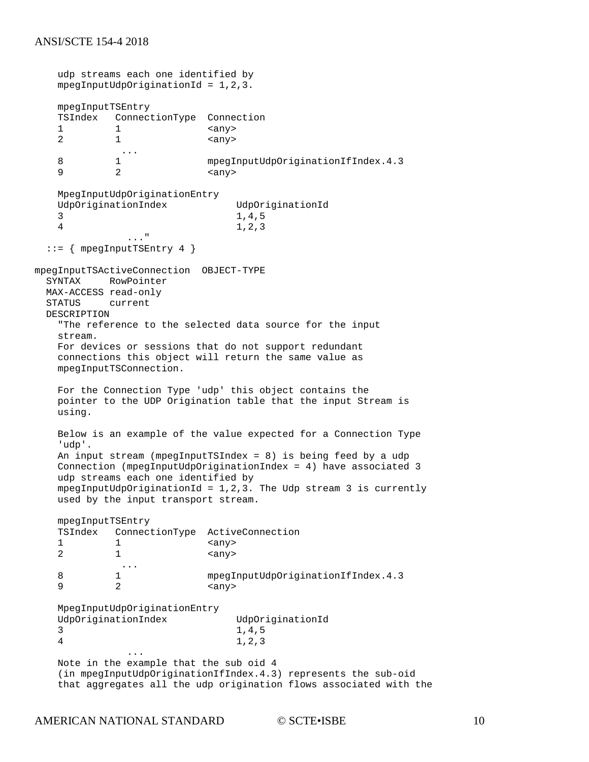```
 udp streams each one identified by
     mpegInputUdpOriginationId = 1,2,3.
     mpegInputTSEntry
     TSIndex ConnectionType Connection
    \begin{array}{ccc} 1 & 1 & \text{any} \\ 2 & 1 & \text{any} \end{array}2 1 \langle \text{any} \rangle\begin{matrix}8\end{matrix} ...
    8 1 mpegInputUdpOriginationIfIndex.4.3<br>9 2 <any>
9 2 \langle any \rangle MpegInputUdpOriginationEntry
    UdpOriginationIndex UdpOriginationId<br>3<br>1,4,5
 3 1,4,5
     4 1,2,3
                 ..."
   ::= { mpegInputTSEntry 4 }
mpegInputTSActiveConnection OBJECT-TYPE
           RowPointer
 MAX-ACCESS read-only<br>STATUS current
         current
  DESCRIPTION 
     "The reference to the selected data source for the input 
     stream.
    For devices or sessions that do not support redundant 
     connections this object will return the same value as
    mpegInputTSConnection.
    For the Connection Type 'udp' this object contains the
    pointer to the UDP Origination table that the input Stream is
    using.
    Below is an example of the value expected for a Connection Type
     'udp'.
     An input stream (mpegInputTSIndex = 8) is being feed by a udp
     Connection (mpegInputUdpOriginationIndex = 4) have associated 3
    udp streams each one identified by
   mpegInputUdpOriginalionId = 1,2,3. The Udp stream 3 is currently
    used by the input transport stream.
    mpegInputTSEntry
     TSIndex ConnectionType ActiveConnection
    \begin{array}{ccc} 1 & 1 & \text{<any} \\ 2 & 1 & \text{<any} \end{array}<any>
    \begin{matrix}8\end{matrix} ...
    8 1 mpegInputUdpOriginationIfIndex.4.3<br>9 2 <any>
                              <any>
     MpegInputUdpOriginationEntry
    UdpOriginationIndex UdpOriginationId<br>3<br>1,4,5
 3 1,4,5
 4 1,2,3
 ...
 Note in the example that the sub oid 4
     (in mpegInputUdpOriginationIfIndex.4.3) represents the sub-oid
     that aggregates all the udp origination flows associated with the
```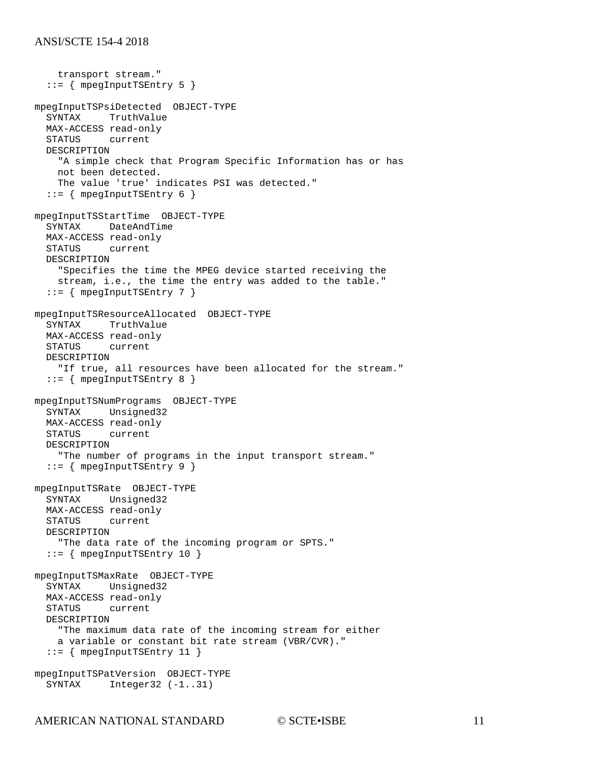```
 transport stream."
   ::= { mpegInputTSEntry 5 }
mpegInputTSPsiDetected OBJECT-TYPE
            TruthValue
   MAX-ACCESS read-only
   STATUS current
   DESCRIPTION 
     "A simple check that Program Specific Information has or has
     not been detected.
     The value 'true' indicates PSI was detected."
   ::= { mpegInputTSEntry 6 }
mpegInputTSStartTime OBJECT-TYPE
   SYNTAX DateAndTime
   MAX-ACCESS read-only
   STATUS current
   DESCRIPTION 
     "Specifies the time the MPEG device started receiving the
     stream, i.e., the time the entry was added to the table."
  ::= { mpegInputTSEntry 7 }
mpegInputTSResourceAllocated OBJECT-TYPE
   SYNTAX TruthValue
   MAX-ACCESS read-only
   STATUS current
   DESCRIPTION 
     "If true, all resources have been allocated for the stream."
   ::= { mpegInputTSEntry 8 }
mpegInputTSNumPrograms OBJECT-TYPE
           Unsigned32
   MAX-ACCESS read-only
   STATUS current
   DESCRIPTION 
     "The number of programs in the input transport stream."
  ::= { mpegInputTSEntry 9 }
mpegInputTSRate OBJECT-TYPE
   SYNTAX Unsigned32
   MAX-ACCESS read-only
           current
   DESCRIPTION 
     "The data rate of the incoming program or SPTS."
   ::= { mpegInputTSEntry 10 }
mpegInputTSMaxRate OBJECT-TYPE
   SYNTAX Unsigned32
   MAX-ACCESS read-only
   STATUS current
   DESCRIPTION 
     "The maximum data rate of the incoming stream for either
     a variable or constant bit rate stream (VBR/CVR)."
  ::= { mpegInputTSEntry 11 }
mpegInputTSPatVersion OBJECT-TYPE<br>SYNTAX Integer32 (-1..31)
             Integer32 (-1..31)
```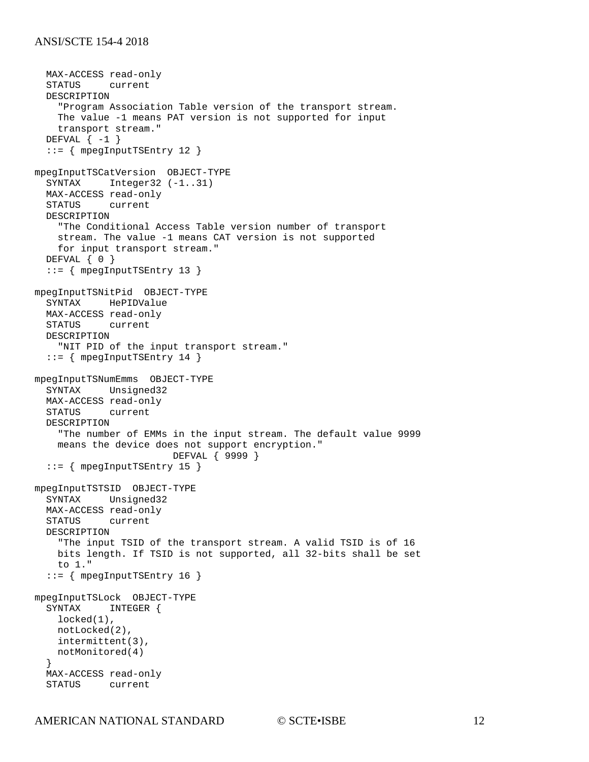```
MAX-ACCESS read-only<br>STATUS current
           current
   DESCRIPTION 
     "Program Association Table version of the transport stream.
     The value -1 means PAT version is not supported for input 
     transport stream."
  DEFVAL \{-1\} ::= { mpegInputTSEntry 12 }
mpegInputTSCatVersion OBJECT-TYPE
  SYNTAX Integer32 (-1..31)
   MAX-ACCESS read-only
   STATUS current
   DESCRIPTION 
     "The Conditional Access Table version number of transport
     stream. The value -1 means CAT version is not supported
     for input transport stream."
  DEFVAL { 0 }
   ::= { mpegInputTSEntry 13 }
mpegInputTSNitPid OBJECT-TYPE
   SYNTAX HePIDValue
   MAX-ACCESS read-only
   STATUS current
   DESCRIPTION 
     "NIT PID of the input transport stream."
   ::= { mpegInputTSEntry 14 }
mpegInputTSNumEmms OBJECT-TYPE
   SYNTAX Unsigned32
  MAX-ACCESS read-only<br>STATUS current
           current
   DESCRIPTION 
     "The number of EMMs in the input stream. The default value 9999
     means the device does not support encryption."
                          DEFVAL { 9999 }
  ::= { mpegInputTSEntry 15 }
mpegInputTSTSID OBJECT-TYPE
   SYNTAX Unsigned32
  MAX-ACCESS read-only<br>STATUS current
            current
   DESCRIPTION 
     "The input TSID of the transport stream. A valid TSID is of 16
     bits length. If TSID is not supported, all 32-bits shall be set
     to 1."
   ::= { mpegInputTSEntry 16 }
mpegInputTSLock OBJECT-TYPE
   SYNTAX INTEGER {
     locked(1),
     notLocked(2),
     intermittent(3),
    notMonitored(4)
   }
   MAX-ACCESS read-only
   STATUS current
```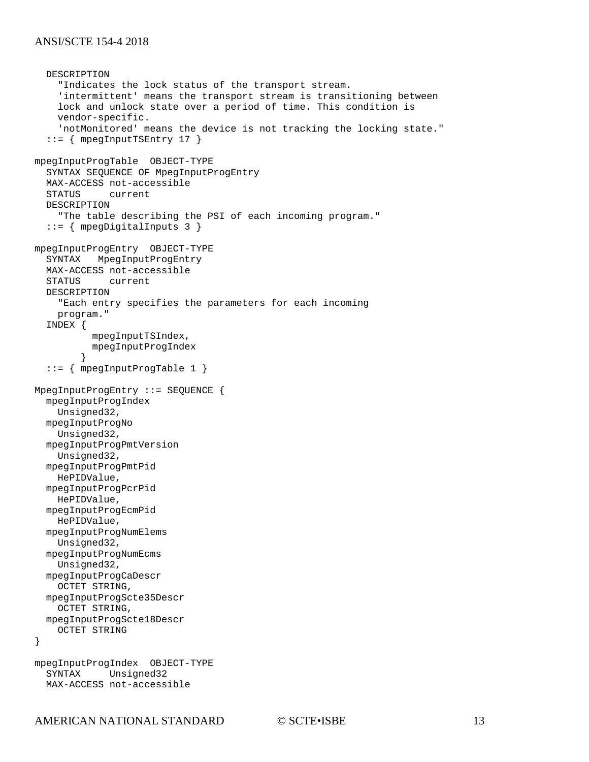```
 DESCRIPTION 
     "Indicates the lock status of the transport stream.
     'intermittent' means the transport stream is transitioning between
     lock and unlock state over a period of time. This condition is 
     vendor-specific.
     'notMonitored' means the device is not tracking the locking state."
   ::= { mpegInputTSEntry 17 }
mpegInputProgTable OBJECT-TYPE
   SYNTAX SEQUENCE OF MpegInputProgEntry
   MAX-ACCESS not-accessible
          current
   DESCRIPTION 
     "The table describing the PSI of each incoming program."
   ::= { mpegDigitalInputs 3 }
mpegInputProgEntry OBJECT-TYPE
          MpegInputProgEntry
   MAX-ACCESS not-accessible
          current
   DESCRIPTION 
     "Each entry specifies the parameters for each incoming
     program."
   INDEX { 
           mpegInputTSIndex, 
        mpegInputProgIndex<br>}
 }
   ::= { mpegInputProgTable 1 }
MpegInputProgEntry ::= SEQUENCE {
   mpegInputProgIndex
     Unsigned32,
   mpegInputProgNo
    Unsigned32,
   mpegInputProgPmtVersion
     Unsigned32,
   mpegInputProgPmtPid
     HePIDValue,
   mpegInputProgPcrPid
     HePIDValue,
   mpegInputProgEcmPid
     HePIDValue,
   mpegInputProgNumElems
     Unsigned32,
   mpegInputProgNumEcms
     Unsigned32,
   mpegInputProgCaDescr
     OCTET STRING,
   mpegInputProgScte35Descr
     OCTET STRING,
   mpegInputProgScte18Descr
     OCTET STRING
}
mpegInputProgIndex OBJECT-TYPE
            Unsigned32
   MAX-ACCESS not-accessible
```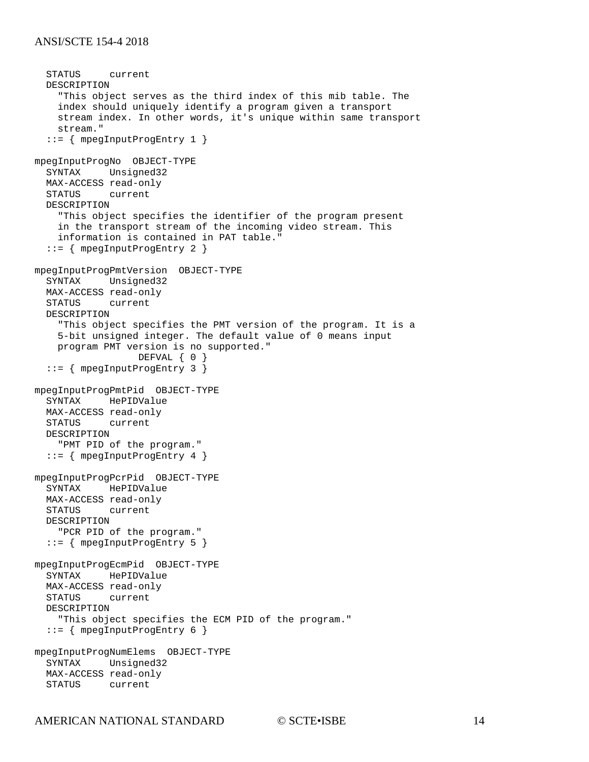```
 STATUS current
   DESCRIPTION 
     "This object serves as the third index of this mib table. The
     index should uniquely identify a program given a transport
     stream index. In other words, it's unique within same transport
     stream."
   ::= { mpegInputProgEntry 1 }
mpegInputProgNo OBJECT-TYPE
   SYNTAX Unsigned32
   MAX-ACCESS read-only
   STATUS current
   DESCRIPTION 
     "This object specifies the identifier of the program present
     in the transport stream of the incoming video stream. This
     information is contained in PAT table."
   ::= { mpegInputProgEntry 2 }
mpegInputProgPmtVersion OBJECT-TYPE
   SYNTAX Unsigned32
   MAX-ACCESS read-only
   STATUS current
   DESCRIPTION 
     "This object specifies the PMT version of the program. It is a
     5-bit unsigned integer. The default value of 0 means input
     program PMT version is no supported."
                  DEFVAL { 0 }
   ::= { mpegInputProgEntry 3 }
mpegInputProgPmtPid OBJECT-TYPE
          HePIDValue
   MAX-ACCESS read-only
   STATUS current
   DESCRIPTION 
     "PMT PID of the program."
   ::= { mpegInputProgEntry 4 }
mpegInputProgPcrPid OBJECT-TYPE
   SYNTAX HePIDValue
   MAX-ACCESS read-only
   STATUS current
   DESCRIPTION 
     "PCR PID of the program."
   ::= { mpegInputProgEntry 5 }
mpegInputProgEcmPid OBJECT-TYPE
   SYNTAX HePIDValue
  MAX-ACCESS read-only<br>STATUS current
          current
   DESCRIPTION 
     "This object specifies the ECM PID of the program."
   ::= { mpegInputProgEntry 6 }
mpegInputProgNumElems OBJECT-TYPE
   SYNTAX Unsigned32
   MAX-ACCESS read-only
   STATUS current
```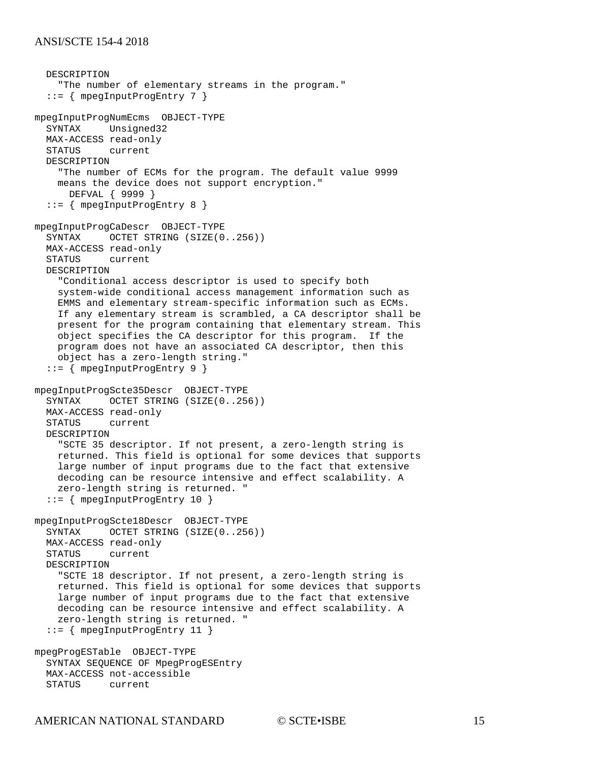```
 DESCRIPTION 
     "The number of elementary streams in the program."
   ::= { mpegInputProgEntry 7 }
mpegInputProgNumEcms OBJECT-TYPE
   SYNTAX Unsigned32
  MAX-ACCESS read-only<br>STATUS current
          current
   DESCRIPTION 
     "The number of ECMs for the program. The default value 9999
     means the device does not support encryption."
      DEFVAL { 9999 }
   ::= { mpegInputProgEntry 8 }
mpegInputProgCaDescr OBJECT-TYPE
  SYNTAX OCTET STRING (SIZE(0..256))
   MAX-ACCESS read-only
         current
   DESCRIPTION 
     "Conditional access descriptor is used to specify both 
     system-wide conditional access management information such as
     EMMS and elementary stream-specific information such as ECMs.
     If any elementary stream is scrambled, a CA descriptor shall be
     present for the program containing that elementary stream. This
     object specifies the CA descriptor for this program. If the
    program does not have an associated CA descriptor, then this
     object has a zero-length string."
   ::= { mpegInputProgEntry 9 }
mpegInputProgScte35Descr OBJECT-TYPE
   SYNTAX OCTET STRING (SIZE(0..256))
   MAX-ACCESS read-only
   STATUS current
   DESCRIPTION 
     "SCTE 35 descriptor. If not present, a zero-length string is
     returned. This field is optional for some devices that supports
     large number of input programs due to the fact that extensive 
     decoding can be resource intensive and effect scalability. A
     zero-length string is returned. "
   ::= { mpegInputProgEntry 10 }
mpegInputProgScte18Descr OBJECT-TYPE
  SYNTAX OCTET STRING (SIZE(0..256))
   MAX-ACCESS read-only
          current
   DESCRIPTION 
     "SCTE 18 descriptor. If not present, a zero-length string is
     returned. This field is optional for some devices that supports
     large number of input programs due to the fact that extensive 
     decoding can be resource intensive and effect scalability. A
     zero-length string is returned. "
   ::= { mpegInputProgEntry 11 }
mpegProgESTable OBJECT-TYPE
   SYNTAX SEQUENCE OF MpegProgESEntry
   MAX-ACCESS not-accessible
   STATUS current
```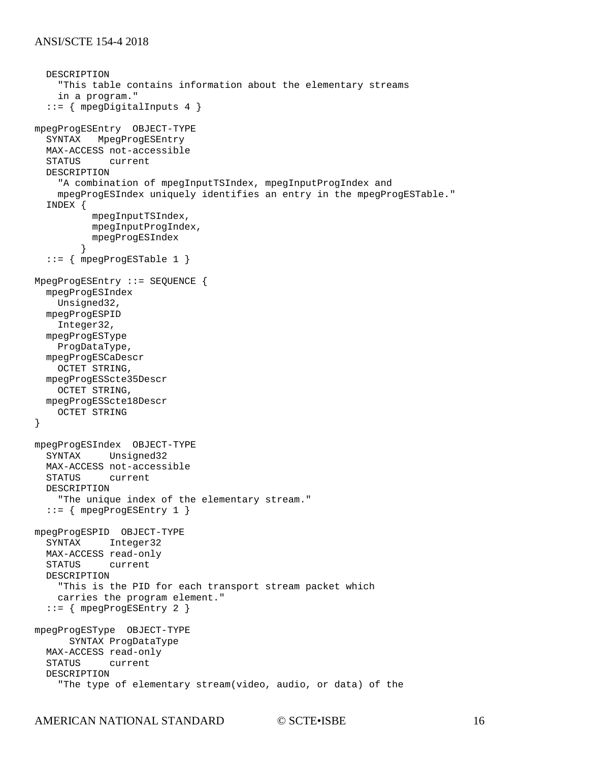```
 DESCRIPTION 
     "This table contains information about the elementary streams
     in a program."
   ::= { mpegDigitalInputs 4 }
mpegProgESEntry OBJECT-TYPE
   SYNTAX MpegProgESEntry
   MAX-ACCESS not-accessible
   STATUS current
   DESCRIPTION 
     "A combination of mpegInputTSIndex, mpegInputProgIndex and 
     mpegProgESIndex uniquely identifies an entry in the mpegProgESTable."
   INDEX { 
           mpegInputTSIndex, 
           mpegInputProgIndex, 
           mpegProgESIndex
 }
   ::= { mpegProgESTable 1 }
MpegProgESEntry ::= SEQUENCE {
   mpegProgESIndex
    Unsigned32,
   mpegProgESPID
     Integer32,
   mpegProgESType
     ProgDataType,
   mpegProgESCaDescr
     OCTET STRING,
   mpegProgESScte35Descr
     OCTET STRING,
   mpegProgESScte18Descr
     OCTET STRING
}
mpegProgESIndex OBJECT-TYPE
   SYNTAX Unsigned32
  MAX-ACCESS not-accessible<br>STATUS current
             current
   DESCRIPTION 
     "The unique index of the elementary stream."
  ::= { mpeqProqESEntry 1 }
mpegProgESPID OBJECT-TYPE
   SYNTAX Integer32
  MAX-ACCESS read-only<br>STATUS current
           current
   DESCRIPTION 
     "This is the PID for each transport stream packet which
     carries the program element."
   ::= { mpegProgESEntry 2 }
mpegProgESType OBJECT-TYPE
       SYNTAX ProgDataType
   MAX-ACCESS read-only
             current
   DESCRIPTION 
     "The type of elementary stream(video, audio, or data) of the
```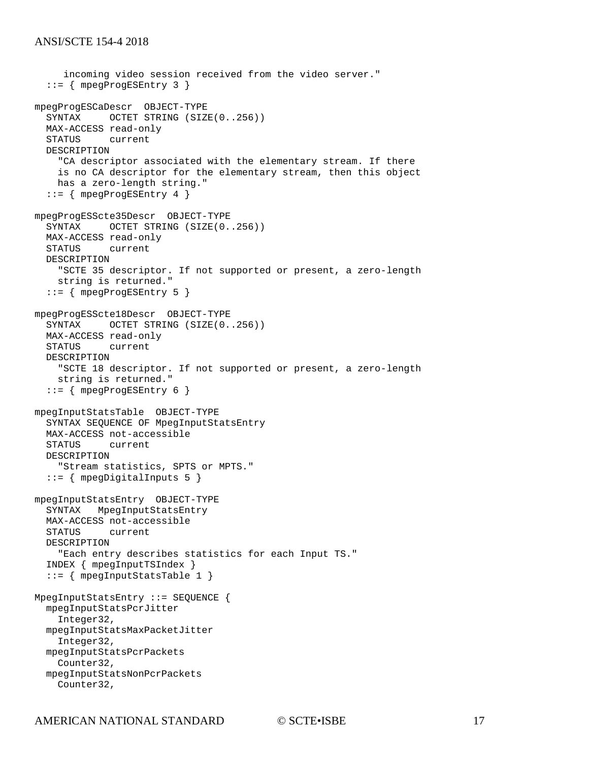```
 incoming video session received from the video server."
   ::= { mpegProgESEntry 3 }
mpegProgESCaDescr OBJECT-TYPE
           OCTET STRING (SIZE(0..256)) MAX-ACCESS read-only
   STATUS current
   DESCRIPTION 
     "CA descriptor associated with the elementary stream. If there
     is no CA descriptor for the elementary stream, then this object
     has a zero-length string."
   ::= { mpegProgESEntry 4 }
mpegProgESScte35Descr OBJECT-TYPE
   SYNTAX OCTET STRING (SIZE(0..256))
   MAX-ACCESS read-only
   STATUS current
   DESCRIPTION 
     "SCTE 35 descriptor. If not supported or present, a zero-length
     string is returned."
   ::= { mpegProgESEntry 5 }
mpegProgESScte18Descr OBJECT-TYPE
  SYNTAX OCTET STRING (SIZE(0..256))
   MAX-ACCESS read-only
   STATUS current
   DESCRIPTION 
     "SCTE 18 descriptor. If not supported or present, a zero-length 
     string is returned."
   ::= { mpegProgESEntry 6 }
mpegInputStatsTable OBJECT-TYPE
   SYNTAX SEQUENCE OF MpegInputStatsEntry
   MAX-ACCESS not-accessible
            current
   DESCRIPTION 
     "Stream statistics, SPTS or MPTS."
  ::= { mpegDigitalInputs 5 }
mpegInputStatsEntry OBJECT-TYPE
   SYNTAX MpegInputStatsEntry
   MAX-ACCESS not-accessible
   STATUS current
   DESCRIPTION 
     "Each entry describes statistics for each Input TS."
   INDEX { mpegInputTSIndex }
   ::= { mpegInputStatsTable 1 }
MpegInputStatsEntry ::= SEQUENCE {
   mpegInputStatsPcrJitter
    Integer32,
   mpegInputStatsMaxPacketJitter
    Integer32,
   mpegInputStatsPcrPackets
    Counter32,
   mpegInputStatsNonPcrPackets
     Counter32,
```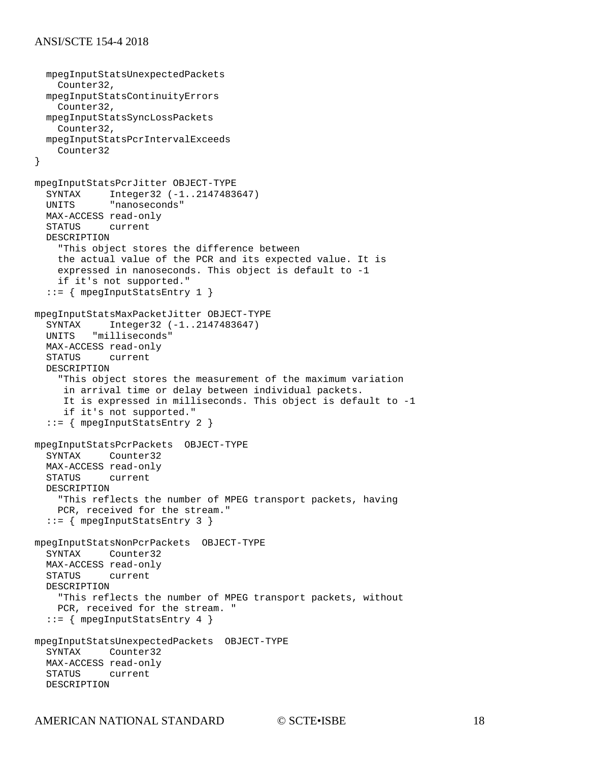```
 mpegInputStatsUnexpectedPackets
     Counter32,
   mpegInputStatsContinuityErrors
     Counter32,
   mpegInputStatsSyncLossPackets
     Counter32,
   mpegInputStatsPcrIntervalExceeds
     Counter32
}
mpegInputStatsPcrJitter OBJECT-TYPE
  SYNTAX Integer32 (-1..2147483647)<br>UNITS "nanoseconds"
             "nanoseconds"
   MAX-ACCESS read-only
   STATUS current
   DESCRIPTION 
     "This object stores the difference between 
     the actual value of the PCR and its expected value. It is 
     expressed in nanoseconds. This object is default to -1 
     if it's not supported."
   ::= { mpegInputStatsEntry 1 }
mpegInputStatsMaxPacketJitter OBJECT-TYPE
   SYNTAX Integer32 (-1..2147483647)
   UNITS "milliseconds"
   MAX-ACCESS read-only
            current
   DESCRIPTION 
     "This object stores the measurement of the maximum variation 
      in arrival time or delay between individual packets. 
      It is expressed in milliseconds. This object is default to -1
      if it's not supported."
   ::= { mpegInputStatsEntry 2 }
mpegInputStatsPcrPackets OBJECT-TYPE
           Counter32
  MAX-ACCESS read-only<br>STATUS current
          current
   DESCRIPTION 
     "This reflects the number of MPEG transport packets, having 
     PCR, received for the stream."
   ::= { mpegInputStatsEntry 3 }
mpegInputStatsNonPcrPackets OBJECT-TYPE
          Counter32
   MAX-ACCESS read-only
   STATUS current
   DESCRIPTION 
     "This reflects the number of MPEG transport packets, without 
     PCR, received for the stream. "
   ::= { mpegInputStatsEntry 4 }
mpegInputStatsUnexpectedPackets OBJECT-TYPE
   SYNTAX Counter32
  MAX-ACCESS read-only<br>STATUS current
          current
   DESCRIPTION
```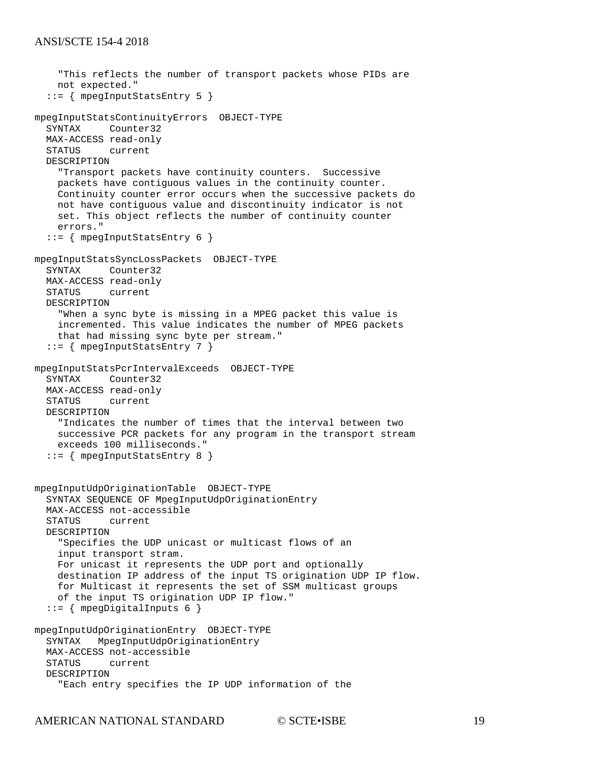```
 "This reflects the number of transport packets whose PIDs are
     not expected."
   ::= { mpegInputStatsEntry 5 }
mpegInputStatsContinuityErrors OBJECT-TYPE
   SYNTAX Counter32
  MAX-ACCESS read-only<br>STATUS current
          current
   DESCRIPTION 
     "Transport packets have continuity counters. Successive
     packets have contiguous values in the continuity counter.
     Continuity counter error occurs when the successive packets do
     not have contiguous value and discontinuity indicator is not 
     set. This object reflects the number of continuity counter
     errors."
   ::= { mpegInputStatsEntry 6 }
mpegInputStatsSyncLossPackets OBJECT-TYPE
           Counter32
  MAX-ACCESS read-only<br>STATUS current
            current
   DESCRIPTION 
     "When a sync byte is missing in a MPEG packet this value is 
     incremented. This value indicates the number of MPEG packets
     that had missing sync byte per stream."
   ::= { mpegInputStatsEntry 7 }
mpegInputStatsPcrIntervalExceeds OBJECT-TYPE
            Counter32
   MAX-ACCESS read-only
   STATUS current
   DESCRIPTION 
     "Indicates the number of times that the interval between two 
     successive PCR packets for any program in the transport stream
     exceeds 100 milliseconds."
   ::= { mpegInputStatsEntry 8 }
mpegInputUdpOriginationTable OBJECT-TYPE
   SYNTAX SEQUENCE OF MpegInputUdpOriginationEntry
   MAX-ACCESS not-accessible
             current
   DESCRIPTION 
     "Specifies the UDP unicast or multicast flows of an 
     input transport stram.
     For unicast it represents the UDP port and optionally 
     destination IP address of the input TS origination UDP IP flow.
     for Multicast it represents the set of SSM multicast groups
     of the input TS origination UDP IP flow."
  ::= { mpegDigitalInputs 6 }
mpegInputUdpOriginationEntry OBJECT-TYPE
   SYNTAX MpegInputUdpOriginationEntry
  MAX-ACCESS not-accessible<br>STATUS current
            current
   DESCRIPTION 
     "Each entry specifies the IP UDP information of the
```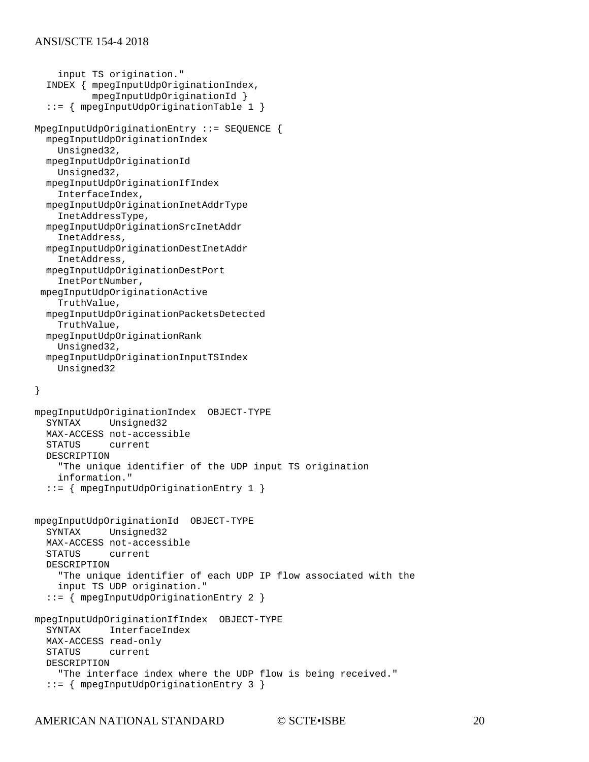```
 input TS origination."
   INDEX { mpegInputUdpOriginationIndex, 
           mpegInputUdpOriginationId }
   ::= { mpegInputUdpOriginationTable 1 }
MpegInputUdpOriginationEntry ::= SEQUENCE {
   mpegInputUdpOriginationIndex
    Unsigned32,
   mpegInputUdpOriginationId
     Unsigned32,
   mpegInputUdpOriginationIfIndex
     InterfaceIndex,
   mpegInputUdpOriginationInetAddrType
     InetAddressType,
   mpegInputUdpOriginationSrcInetAddr
     InetAddress,
   mpegInputUdpOriginationDestInetAddr
     InetAddress,
   mpegInputUdpOriginationDestPort
     InetPortNumber,
 mpegInputUdpOriginationActive
     TruthValue,
   mpegInputUdpOriginationPacketsDetected
     TruthValue,
   mpegInputUdpOriginationRank
     Unsigned32,
   mpegInputUdpOriginationInputTSIndex
     Unsigned32
}
mpegInputUdpOriginationIndex OBJECT-TYPE
   SYNTAX Unsigned32
   MAX-ACCESS not-accessible
            current
   DESCRIPTION 
     "The unique identifier of the UDP input TS origination 
     information."
   ::= { mpegInputUdpOriginationEntry 1 }
mpegInputUdpOriginationId OBJECT-TYPE
   SYNTAX Unsigned32
   MAX-ACCESS not-accessible
            current
   DESCRIPTION 
     "The unique identifier of each UDP IP flow associated with the 
     input TS UDP origination."
   ::= { mpegInputUdpOriginationEntry 2 }
mpegInputUdpOriginationIfIndex OBJECT-TYPE
   SYNTAX InterfaceIndex
  MAX-ACCESS read-only<br>STATUS current
            current
   DESCRIPTION 
     "The interface index where the UDP flow is being received."
   ::= { mpegInputUdpOriginationEntry 3 }
```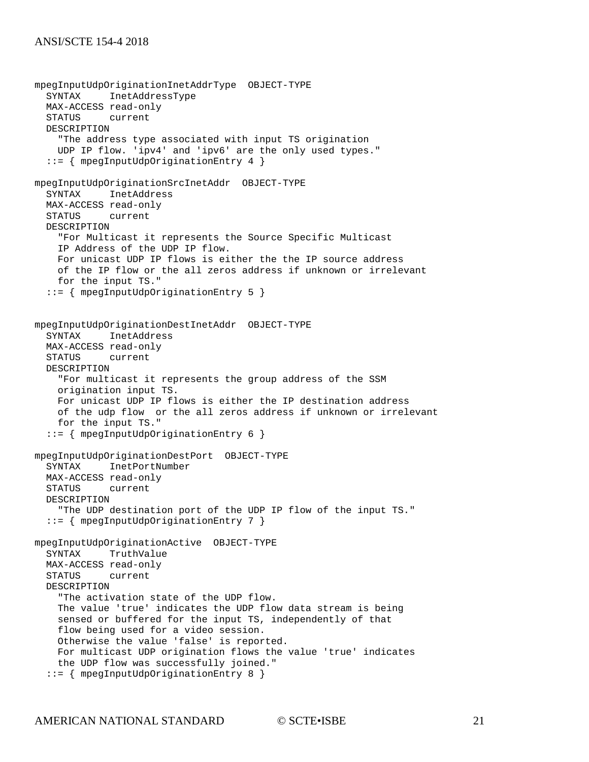```
mpegInputUdpOriginationInetAddrType OBJECT-TYPE
           InetAddressType
   MAX-ACCESS read-only
   STATUS current
   DESCRIPTION 
     "The address type associated with input TS origination 
     UDP IP flow. 'ipv4' and 'ipv6' are the only used types."
   ::= { mpegInputUdpOriginationEntry 4 }
mpegInputUdpOriginationSrcInetAddr OBJECT-TYPE
   SYNTAX InetAddress
   MAX-ACCESS read-only
   STATUS current
   DESCRIPTION 
     "For Multicast it represents the Source Specific Multicast 
     IP Address of the UDP IP flow.
     For unicast UDP IP flows is either the the IP source address
     of the IP flow or the all zeros address if unknown or irrelevant
     for the input TS."
   ::= { mpegInputUdpOriginationEntry 5 }
mpegInputUdpOriginationDestInetAddr OBJECT-TYPE
           InetAddress
   MAX-ACCESS read-only
   STATUS current
   DESCRIPTION 
     "For multicast it represents the group address of the SSM
     origination input TS.
     For unicast UDP IP flows is either the IP destination address
     of the udp flow or the all zeros address if unknown or irrelevant
     for the input TS."
   ::= { mpegInputUdpOriginationEntry 6 }
mpegInputUdpOriginationDestPort OBJECT-TYPE
   SYNTAX InetPortNumber
   MAX-ACCESS read-only
   STATUS current
   DESCRIPTION 
     "The UDP destination port of the UDP IP flow of the input TS."
   ::= { mpegInputUdpOriginationEntry 7 }
mpegInputUdpOriginationActive OBJECT-TYPE
   SYNTAX TruthValue
   MAX-ACCESS read-only
   STATUS current
   DESCRIPTION 
     "The activation state of the UDP flow.
     The value 'true' indicates the UDP flow data stream is being 
     sensed or buffered for the input TS, independently of that 
    flow being used for a video session.
    Otherwise the value 'false' is reported.
    For multicast UDP origination flows the value 'true' indicates 
     the UDP flow was successfully joined."
   ::= { mpegInputUdpOriginationEntry 8 }
```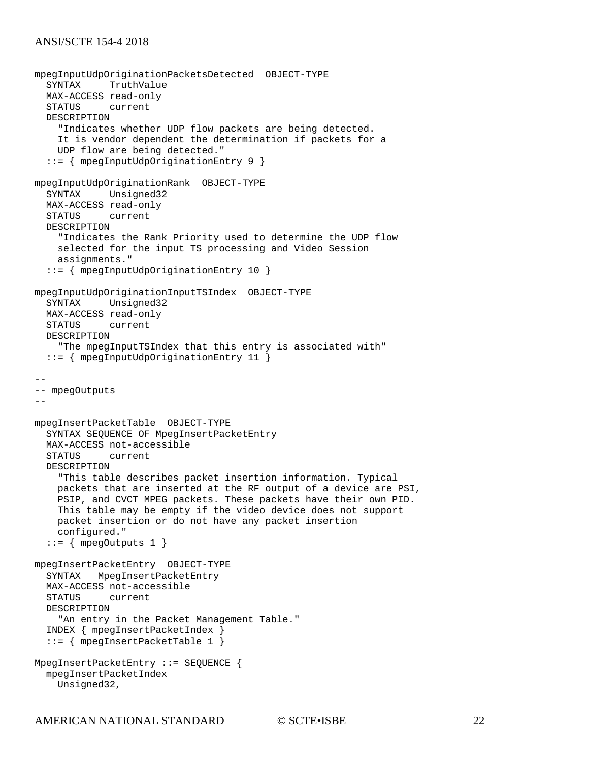```
mpegInputUdpOriginationPacketsDetected OBJECT-TYPE
           TruthValue
  MAX-ACCESS read-only<br>STATUS current
          current
   DESCRIPTION 
     "Indicates whether UDP flow packets are being detected.
     It is vendor dependent the determination if packets for a
     UDP flow are being detected."
   ::= { mpegInputUdpOriginationEntry 9 }
mpegInputUdpOriginationRank OBJECT-TYPE
            Unsigned32
  MAX-ACCESS read-only<br>STATUS current
             current
   DESCRIPTION 
     "Indicates the Rank Priority used to determine the UDP flow
     selected for the input TS processing and Video Session 
     assignments."
   ::= { mpegInputUdpOriginationEntry 10 } 
mpegInputUdpOriginationInputTSIndex OBJECT-TYPE
           Unsigned32
   MAX-ACCESS read-only
   STATUS current
   DESCRIPTION 
     "The mpegInputTSIndex that this entry is associated with"
   ::= { mpegInputUdpOriginationEntry 11 } 
--
-- mpegOutputs
--
mpegInsertPacketTable OBJECT-TYPE
   SYNTAX SEQUENCE OF MpegInsertPacketEntry
   MAX-ACCESS not-accessible
          current
   DESCRIPTION 
     "This table describes packet insertion information. Typical
     packets that are inserted at the RF output of a device are PSI,
     PSIP, and CVCT MPEG packets. These packets have their own PID.
     This table may be empty if the video device does not support
     packet insertion or do not have any packet insertion
     configured."
  ::= { mpegOutputs 1 }
mpegInsertPacketEntry OBJECT-TYPE
   SYNTAX MpegInsertPacketEntry
   MAX-ACCESS not-accessible
            current
   DESCRIPTION 
     "An entry in the Packet Management Table."
   INDEX { mpegInsertPacketIndex }
   ::= { mpegInsertPacketTable 1 }
MpegInsertPacketEntry ::= SEQUENCE {
   mpegInsertPacketIndex
     Unsigned32,
```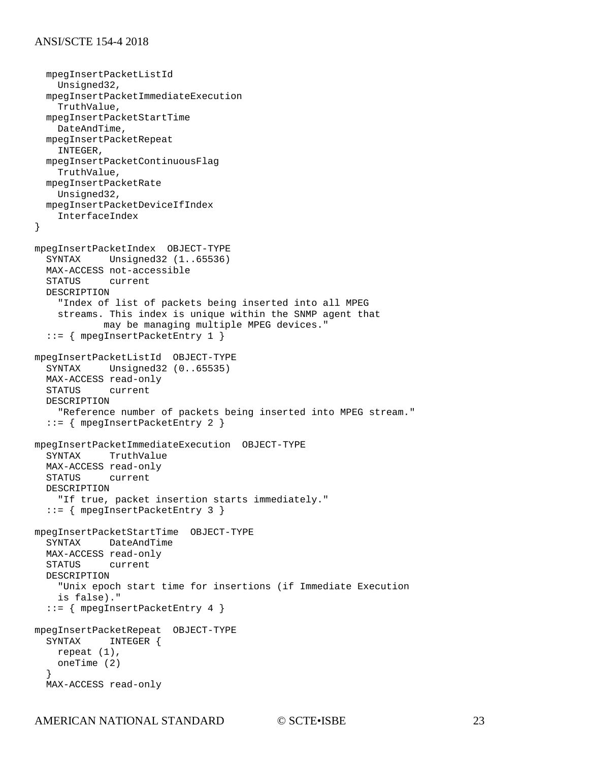```
 mpegInsertPacketListId
     Unsigned32,
   mpegInsertPacketImmediateExecution
     TruthValue,
   mpegInsertPacketStartTime
     DateAndTime,
   mpegInsertPacketRepeat
     INTEGER,
   mpegInsertPacketContinuousFlag
     TruthValue,
   mpegInsertPacketRate
     Unsigned32,
   mpegInsertPacketDeviceIfIndex
     InterfaceIndex
}
mpegInsertPacketIndex OBJECT-TYPE
            Unsigned32 (1..65536)MAX-ACCESS not-accessible<br>STATUS current
          current
   DESCRIPTION 
     "Index of list of packets being inserted into all MPEG
     streams. This index is unique within the SNMP agent that
             may be managing multiple MPEG devices."
   ::= { mpegInsertPacketEntry 1 }
mpegInsertPacketListId OBJECT-TYPE
   SYNTAX Unsigned32 (0..65535)
  MAX-ACCESS read-only<br>STATUS current
          current
   DESCRIPTION 
     "Reference number of packets being inserted into MPEG stream."
   ::= { mpegInsertPacketEntry 2 }
mpegInsertPacketImmediateExecution OBJECT-TYPE
           TruthValue
  MAX-ACCESS read-only<br>STATUS current
             current
   DESCRIPTION 
     "If true, packet insertion starts immediately."
   ::= { mpegInsertPacketEntry 3 }
mpegInsertPacketStartTime OBJECT-TYPE
   SYNTAX DateAndTime
  MAX-ACCESS read-only<br>STATUS current
           current
   DESCRIPTION 
     "Unix epoch start time for insertions (if Immediate Execution
     is false)."
   ::= { mpegInsertPacketEntry 4 }
mpegInsertPacketRepeat OBJECT-TYPE
   SYNTAX INTEGER {
     repeat (1),
     oneTime (2)
   }
   MAX-ACCESS read-only
```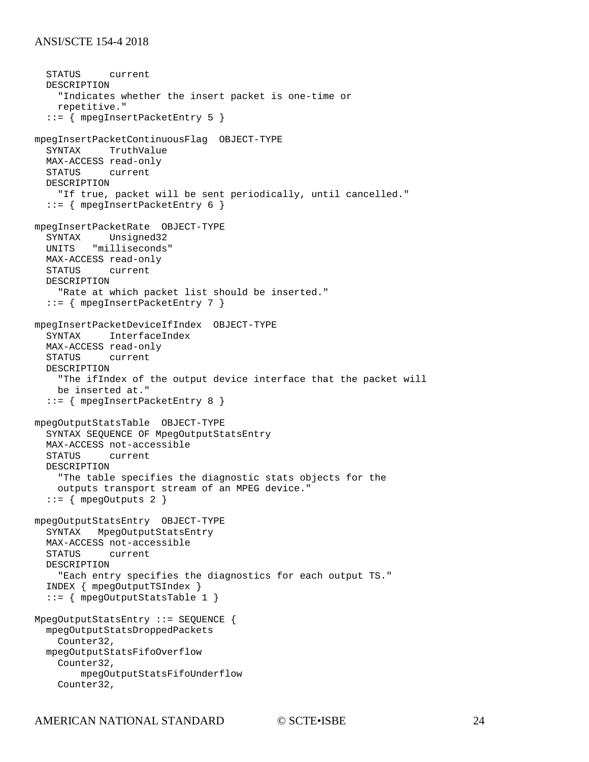```
 STATUS current
   DESCRIPTION 
     "Indicates whether the insert packet is one-time or
     repetitive."
   ::= { mpegInsertPacketEntry 5 }
mpegInsertPacketContinuousFlag OBJECT-TYPE
   SYNTAX TruthValue
   MAX-ACCESS read-only
   STATUS current
   DESCRIPTION 
     "If true, packet will be sent periodically, until cancelled."
   ::= { mpegInsertPacketEntry 6 }
mpegInsertPacketRate OBJECT-TYPE
           Unsigned32
   UNITS "milliseconds"
   MAX-ACCESS read-only
   STATUS current
   DESCRIPTION 
     "Rate at which packet list should be inserted."
   ::= { mpegInsertPacketEntry 7 }
mpegInsertPacketDeviceIfIndex OBJECT-TYPE
          InterfaceIndex
  MAX-ACCESS read-only<br>STATUS current
          current
   DESCRIPTION 
     "The ifIndex of the output device interface that the packet will
     be inserted at."
   ::= { mpegInsertPacketEntry 8 }
mpegOutputStatsTable OBJECT-TYPE
   SYNTAX SEQUENCE OF MpegOutputStatsEntry
   MAX-ACCESS not-accessible
          current
   DESCRIPTION 
     "The table specifies the diagnostic stats objects for the 
     outputs transport stream of an MPEG device."
  ::= { mpegOutputs 2 }
mpegOutputStatsEntry OBJECT-TYPE
   SYNTAX MpegOutputStatsEntry
   MAX-ACCESS not-accessible
           current
   DESCRIPTION 
     "Each entry specifies the diagnostics for each output TS."
   INDEX { mpegOutputTSIndex }
   ::= { mpegOutputStatsTable 1 }
MpegOutputStatsEntry ::= SEQUENCE {
   mpegOutputStatsDroppedPackets
     Counter32,
   mpegOutputStatsFifoOverflow
     Counter32,
         mpegOutputStatsFifoUnderflow
     Counter32,
```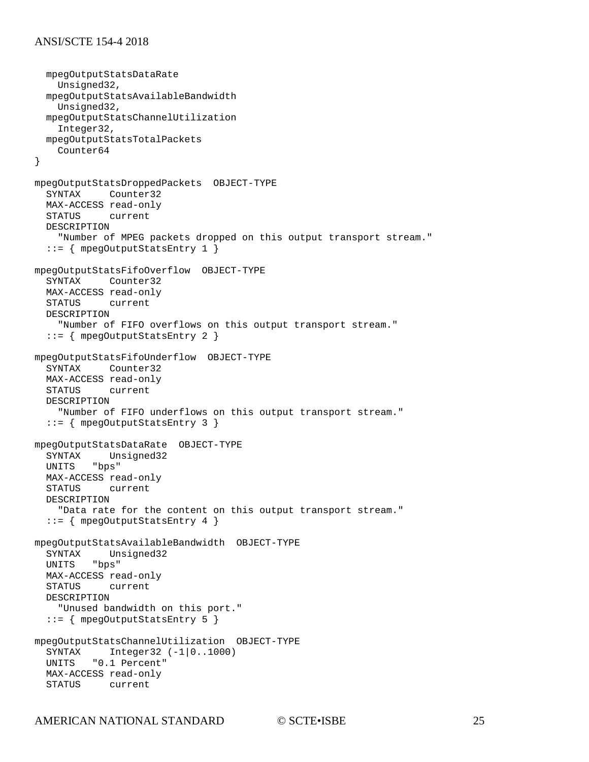```
 mpegOutputStatsDataRate
     Unsigned32,
   mpegOutputStatsAvailableBandwidth
     Unsigned32,
   mpegOutputStatsChannelUtilization
     Integer32,
   mpegOutputStatsTotalPackets
     Counter64
}
mpegOutputStatsDroppedPackets OBJECT-TYPE
            Counter32
  MAX-ACCESS read-only<br>STATUS current
           current
   DESCRIPTION 
     "Number of MPEG packets dropped on this output transport stream."
   ::= { mpegOutputStatsEntry 1 }
mpegOutputStatsFifoOverflow OBJECT-TYPE
   SYNTAX Counter32
   MAX-ACCESS read-only
   STATUS current
   DESCRIPTION 
     "Number of FIFO overflows on this output transport stream."
   ::= { mpegOutputStatsEntry 2 }
mpegOutputStatsFifoUnderflow OBJECT-TYPE
   SYNTAX Counter32
   MAX-ACCESS read-only
   STATUS current
   DESCRIPTION 
     "Number of FIFO underflows on this output transport stream."
   ::= { mpegOutputStatsEntry 3 }
mpegOutputStatsDataRate OBJECT-TYPE
  SYNTAX Unsigned32<br>UNITS "bps"
         "bps"
  MAX-ACCESS read-only<br>STATUS current
             current
   DESCRIPTION 
     "Data rate for the content on this output transport stream."
   ::= { mpegOutputStatsEntry 4 }
mpegOutputStatsAvailableBandwidth OBJECT-TYPE
          Unsigned32<br>"bps"
  UNITS
  MAX-ACCESS read-only<br>STATUS current
             current
   DESCRIPTION 
     "Unused bandwidth on this port."
   ::= { mpegOutputStatsEntry 5 }
mpegOutputStatsChannelUtilization OBJECT-TYPE
  SYNTAX Integer32 (-1|0..1000)<br>UNITS "0.1 Percent"
         "0.1 Percent"
   MAX-ACCESS read-only
   STATUS current
```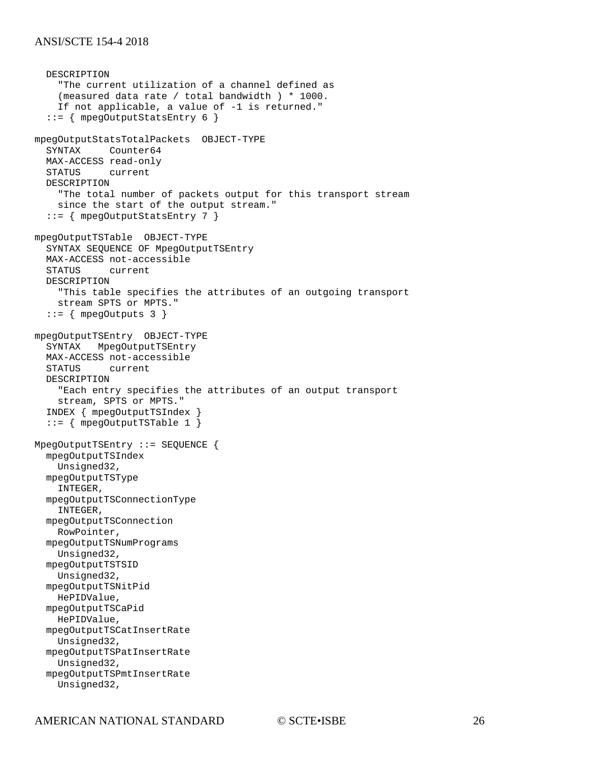```
 DESCRIPTION 
     "The current utilization of a channel defined as 
     (measured data rate / total bandwidth ) * 1000.
     If not applicable, a value of -1 is returned."
   ::= { mpegOutputStatsEntry 6 }
mpegOutputStatsTotalPackets OBJECT-TYPE
           Counter64
   MAX-ACCESS read-only
   STATUS current
   DESCRIPTION 
     "The total number of packets output for this transport stream
     since the start of the output stream."
   ::= { mpegOutputStatsEntry 7 }
mpegOutputTSTable OBJECT-TYPE
   SYNTAX SEQUENCE OF MpegOutputTSEntry
   MAX-ACCESS not-accessible
          current
   DESCRIPTION 
     "This table specifies the attributes of an outgoing transport
     stream SPTS or MPTS."
   ::= { mpegOutputs 3 }
mpegOutputTSEntry OBJECT-TYPE
   SYNTAX MpegOutputTSEntry
   MAX-ACCESS not-accessible
           current
   DESCRIPTION 
     "Each entry specifies the attributes of an output transport
     stream, SPTS or MPTS."
   INDEX { mpegOutputTSIndex }
   ::= { mpegOutputTSTable 1 }
MpegOutputTSEntry ::= SEQUENCE {
   mpegOutputTSIndex
    Unsigned32,
   mpegOutputTSType
     INTEGER,
   mpegOutputTSConnectionType
     INTEGER,
   mpegOutputTSConnection
     RowPointer, 
   mpegOutputTSNumPrograms
     Unsigned32,
   mpegOutputTSTSID
     Unsigned32,
   mpegOutputTSNitPid
    HePIDValue,
   mpegOutputTSCaPid
     HePIDValue,
   mpegOutputTSCatInsertRate
     Unsigned32,
   mpegOutputTSPatInsertRate
     Unsigned32,
   mpegOutputTSPmtInsertRate
     Unsigned32,
```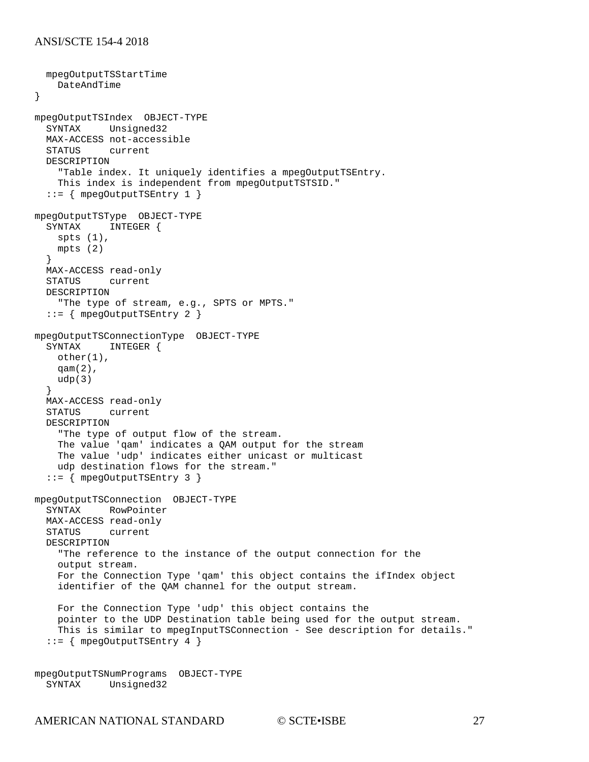```
 mpegOutputTSStartTime 
     DateAndTime
}
mpegOutputTSIndex OBJECT-TYPE
   SYNTAX Unsigned32
  MAX-ACCESS not-accessible<br>STATUS current
          current
   DESCRIPTION 
     "Table index. It uniquely identifies a mpegOutputTSEntry. 
     This index is independent from mpegOutputTSTSID."
   ::= { mpegOutputTSEntry 1 }
mpegOutputTSType OBJECT-TYPE<br>SYNTAX INTEGER {
            INTEGER {
     spts (1),
     mpts (2)
   }
   MAX-ACCESS read-only
   STATUS current
   DESCRIPTION 
     "The type of stream, e.g., SPTS or MPTS."
   ::= { mpegOutputTSEntry 2 }
mpegOutputTSConnectionType OBJECT-TYPE<br>SYNTAX INTEGER {
             INTEGER {
    other(1),
     qam(2),
    udp(3) }
  MAX-ACCESS read-only<br>STATUS current
            current
   DESCRIPTION 
     "The type of output flow of the stream.
     The value 'qam' indicates a QAM output for the stream
     The value 'udp' indicates either unicast or multicast 
     udp destination flows for the stream."
   ::= { mpegOutputTSEntry 3 }
mpegOutputTSConnection OBJECT-TYPE
   SYNTAX RowPointer
   MAX-ACCESS read-only
   STATUS current
   DESCRIPTION 
     "The reference to the instance of the output connection for the 
     output stream.
     For the Connection Type 'qam' this object contains the ifIndex object
     identifier of the QAM channel for the output stream.
     For the Connection Type 'udp' this object contains the 
     pointer to the UDP Destination table being used for the output stream.
     This is similar to mpegInputTSConnection - See description for details."
   ::= { mpegOutputTSEntry 4 }
```
mpegOutputTSNumPrograms OBJECT-TYPE Unsigned32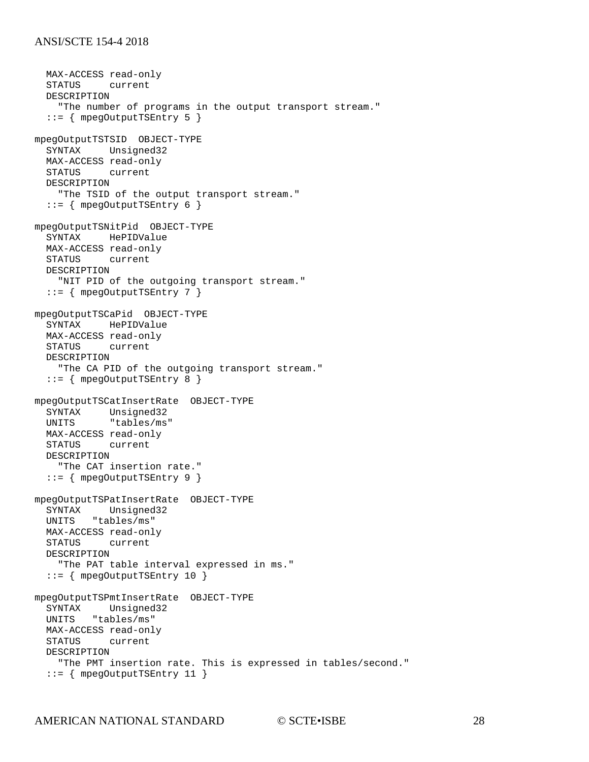MAX-ACCESS read-only<br>STATUS current current DESCRIPTION "The number of programs in the output transport stream." ::= { mpegOutputTSEntry 5 } mpegOutputTSTSID OBJECT-TYPE SYNTAX Unsigned32 MAX-ACCESS read-only STATUS current DESCRIPTION "The TSID of the output transport stream." ::= { mpegOutputTSEntry 6 } mpegOutputTSNitPid OBJECT-TYPE HePIDValue MAX-ACCESS read-only STATUS current DESCRIPTION "NIT PID of the outgoing transport stream." ::= { mpegOutputTSEntry 7 } mpegOutputTSCaPid OBJECT-TYPE SYNTAX HePIDValue MAX-ACCESS read-only STATUS current DESCRIPTION "The CA PID of the outgoing transport stream." ::= { mpegOutputTSEntry 8 } mpegOutputTSCatInsertRate OBJECT-TYPE SYNTAX Unsigned32<br>UNITS "tables/ms "tables/ms" MAX-ACCESS read-only STATUS current DESCRIPTION "The CAT insertion rate." ::= { mpegOutputTSEntry 9 } mpegOutputTSPatInsertRate OBJECT-TYPE SYNTAX Unsigned32 UNITS "tables/ms" MAX-ACCESS read-only STATUS current DESCRIPTION "The PAT table interval expressed in ms." ::= { mpegOutputTSEntry 10 } mpegOutputTSPmtInsertRate OBJECT-TYPE SYNTAX Unsigned32 UNITS "tables/ms" MAX-ACCESS read-only STATUS current DESCRIPTION "The PMT insertion rate. This is expressed in tables/second." ::= { mpegOutputTSEntry 11 }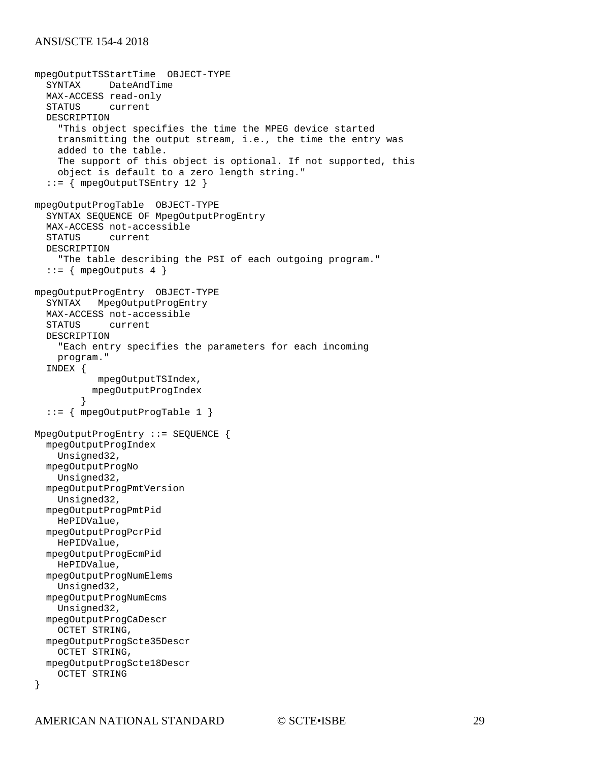```
mpegOutputTSStartTime OBJECT-TYPE
           DateAndTime
  MAX-ACCESS read-only<br>STATUS current
          current
   DESCRIPTION 
     "This object specifies the time the MPEG device started 
     transmitting the output stream, i.e., the time the entry was
     added to the table.
     The support of this object is optional. If not supported, this
     object is default to a zero length string."
   ::= { mpegOutputTSEntry 12 }
mpegOutputProgTable OBJECT-TYPE
   SYNTAX SEQUENCE OF MpegOutputProgEntry
   MAX-ACCESS not-accessible
   STATUS current
   DESCRIPTION 
     "The table describing the PSI of each outgoing program."
  ::= { mpegOutputs 4 }
mpegOutputProgEntry OBJECT-TYPE
   SYNTAX MpegOutputProgEntry
   MAX-ACCESS not-accessible
   STATUS current
   DESCRIPTION 
     "Each entry specifies the parameters for each incoming 
     program."
   INDEX { 
            mpegOutputTSIndex, 
           mpegOutputProgIndex 
 }
   ::= { mpegOutputProgTable 1 }
MpegOutputProgEntry ::= SEQUENCE {
   mpegOutputProgIndex
    Unsigned32,
   mpegOutputProgNo
     Unsigned32,
   mpegOutputProgPmtVersion
     Unsigned32,
   mpegOutputProgPmtPid
     HePIDValue,
   mpegOutputProgPcrPid
     HePIDValue,
   mpegOutputProgEcmPid
     HePIDValue,
   mpegOutputProgNumElems
     Unsigned32,
   mpegOutputProgNumEcms
     Unsigned32,
   mpegOutputProgCaDescr
     OCTET STRING,
   mpegOutputProgScte35Descr
     OCTET STRING,
   mpegOutputProgScte18Descr
     OCTET STRING
}
```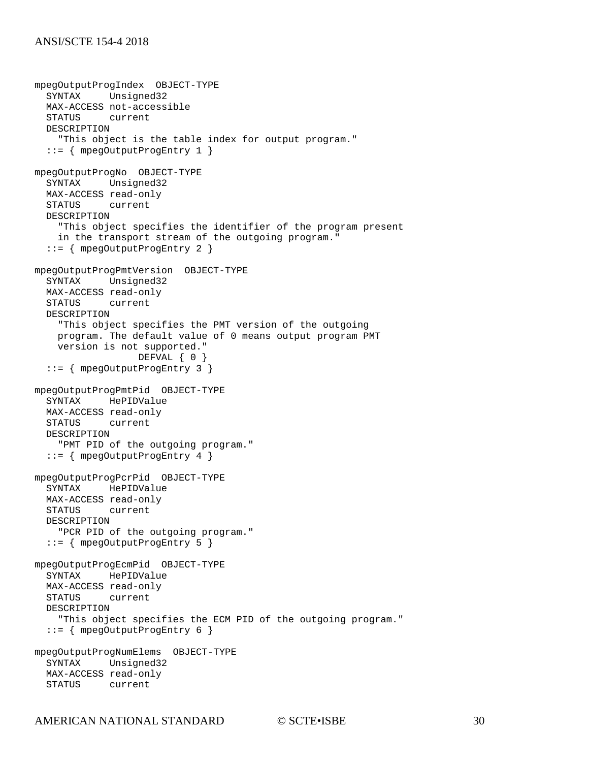```
mpegOutputProgIndex OBJECT-TYPE
   SYNTAX Unsigned32
   MAX-ACCESS not-accessible
   STATUS current
   DESCRIPTION 
     "This object is the table index for output program."
   ::= { mpegOutputProgEntry 1 }
mpegOutputProgNo OBJECT-TYPE
   SYNTAX Unsigned32
   MAX-ACCESS read-only
   STATUS current
   DESCRIPTION 
     "This object specifies the identifier of the program present
     in the transport stream of the outgoing program."
   ::= { mpegOutputProgEntry 2 }
mpegOutputProgPmtVersion OBJECT-TYPE
   SYNTAX Unsigned32
   MAX-ACCESS read-only
   STATUS current
   DESCRIPTION 
     "This object specifies the PMT version of the outgoing
     program. The default value of 0 means output program PMT
     version is not supported."
                   DEFVAL { 0 }
   ::= { mpegOutputProgEntry 3 }
mpegOutputProgPmtPid OBJECT-TYPE
   SYNTAX HePIDValue
   MAX-ACCESS read-only
   STATUS current
   DESCRIPTION 
     "PMT PID of the outgoing program."
   ::= { mpegOutputProgEntry 4 }
mpegOutputProgPcrPid OBJECT-TYPE
   SYNTAX HePIDValue
  MAX-ACCESS read-only
   STATUS current
   DESCRIPTION 
     "PCR PID of the outgoing program."
   ::= { mpegOutputProgEntry 5 }
mpegOutputProgEcmPid OBJECT-TYPE
   SYNTAX HePIDValue
  MAX-ACCESS read-only<br>STATUS current
          current
   DESCRIPTION 
     "This object specifies the ECM PID of the outgoing program."
   ::= { mpegOutputProgEntry 6 }
mpegOutputProgNumElems OBJECT-TYPE
           Unsigned32
   MAX-ACCESS read-only
   STATUS current
```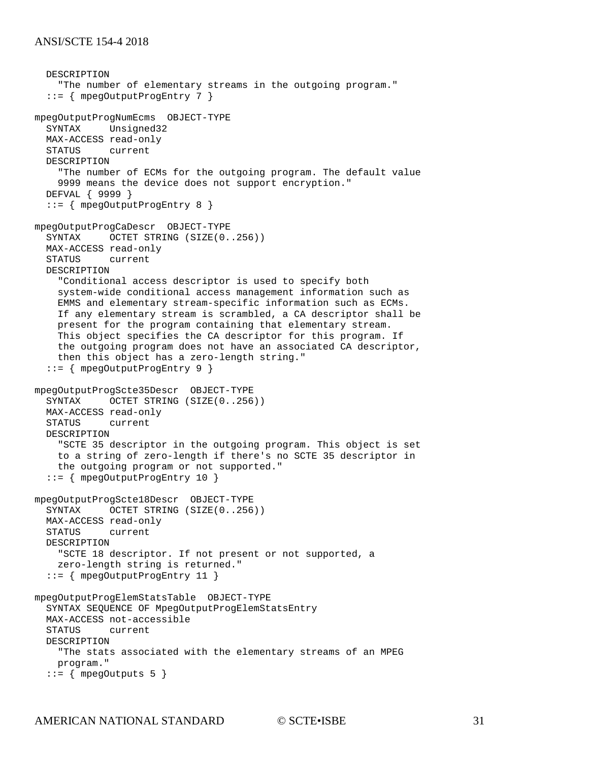```
 DESCRIPTION 
     "The number of elementary streams in the outgoing program."
   ::= { mpegOutputProgEntry 7 }
mpegOutputProgNumEcms OBJECT-TYPE
   SYNTAX Unsigned32
   MAX-ACCESS read-only
   STATUS current
   DESCRIPTION 
     "The number of ECMs for the outgoing program. The default value
     9999 means the device does not support encryption."
   DEFVAL { 9999 }
   ::= { mpegOutputProgEntry 8 }
mpegOutputProgCaDescr OBJECT-TYPE
  SYNTAX OCTET STRING (SIZE(0..256))
   MAX-ACCESS read-only
         current
   DESCRIPTION 
     "Conditional access descriptor is used to specify both 
     system-wide conditional access management information such as
     EMMS and elementary stream-specific information such as ECMs. 
     If any elementary stream is scrambled, a CA descriptor shall be
     present for the program containing that elementary stream.
     This object specifies the CA descriptor for this program. If 
     the outgoing program does not have an associated CA descriptor,
     then this object has a zero-length string."
   ::= { mpegOutputProgEntry 9 }
mpegOutputProgScte35Descr OBJECT-TYPE
          OCTET STRING (SIZE(0..256)) MAX-ACCESS read-only
   STATUS current
   DESCRIPTION 
     "SCTE 35 descriptor in the outgoing program. This object is set 
     to a string of zero-length if there's no SCTE 35 descriptor in
     the outgoing program or not supported."
   ::= { mpegOutputProgEntry 10 }
mpegOutputProgScte18Descr OBJECT-TYPE
   SYNTAX OCTET STRING (SIZE(0..256))
   MAX-ACCESS read-only
   STATUS current
   DESCRIPTION 
     "SCTE 18 descriptor. If not present or not supported, a
     zero-length string is returned."
   ::= { mpegOutputProgEntry 11 }
mpegOutputProgElemStatsTable OBJECT-TYPE
   SYNTAX SEQUENCE OF MpegOutputProgElemStatsEntry
   MAX-ACCESS not-accessible
            current
   DESCRIPTION 
     "The stats associated with the elementary streams of an MPEG
    program."
  ::= { mpegOutputs 5 }
```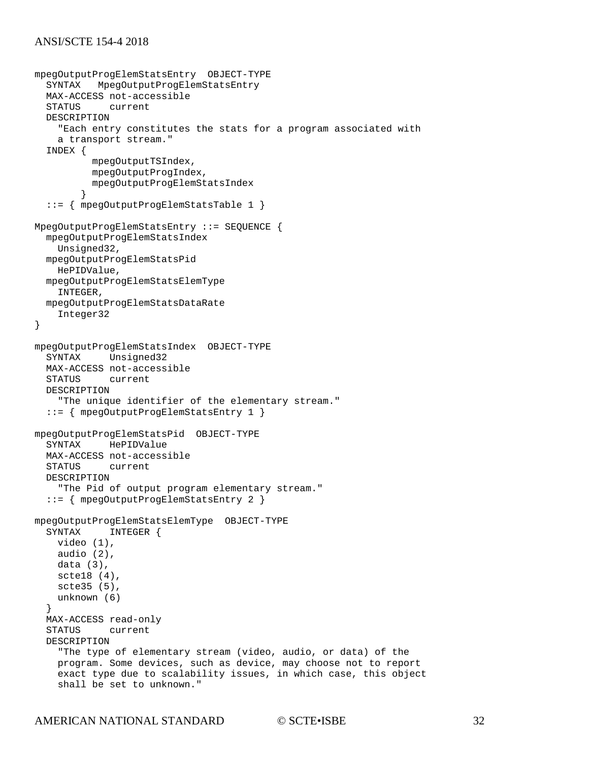```
mpegOutputProgElemStatsEntry OBJECT-TYPE
   SYNTAX MpegOutputProgElemStatsEntry
  MAX-ACCESS not-accessible<br>STATUS current
             current
   DESCRIPTION 
     "Each entry constitutes the stats for a program associated with
     a transport stream."
   INDEX { 
           mpegOutputTSIndex, 
           mpegOutputProgIndex, 
         mpegOutputProgElemStatsIndex 
 }
 ::= { mpegOutputProgElemStatsTable 1 }
MpegOutputProgElemStatsEntry ::= SEQUENCE {
   mpegOutputProgElemStatsIndex
     Unsigned32,
   mpegOutputProgElemStatsPid
     HePIDValue,
   mpegOutputProgElemStatsElemType
     INTEGER,
   mpegOutputProgElemStatsDataRate
     Integer32
}
mpegOutputProgElemStatsIndex OBJECT-TYPE
            Unsigned32
  MAX-ACCESS not-accessible<br>STATUS current
           current
   DESCRIPTION 
     "The unique identifier of the elementary stream."
   ::= { mpegOutputProgElemStatsEntry 1 }
mpegOutputProgElemStatsPid OBJECT-TYPE
            HePIDValue
   MAX-ACCESS not-accessible
  STATUS current
   DESCRIPTION 
     "The Pid of output program elementary stream."
   ::= { mpegOutputProgElemStatsEntry 2 }
mpegOutputProgElemStatsElemType OBJECT-TYPE
             INTEGER {
     video (1),
     audio (2),
     data (3),
     scte18 (4),
     scte35 (5),
     unknown (6)
   }
  MAX-ACCESS read-only<br>STATUS current
          current
   DESCRIPTION 
     "The type of elementary stream (video, audio, or data) of the
     program. Some devices, such as device, may choose not to report
     exact type due to scalability issues, in which case, this object
     shall be set to unknown."
```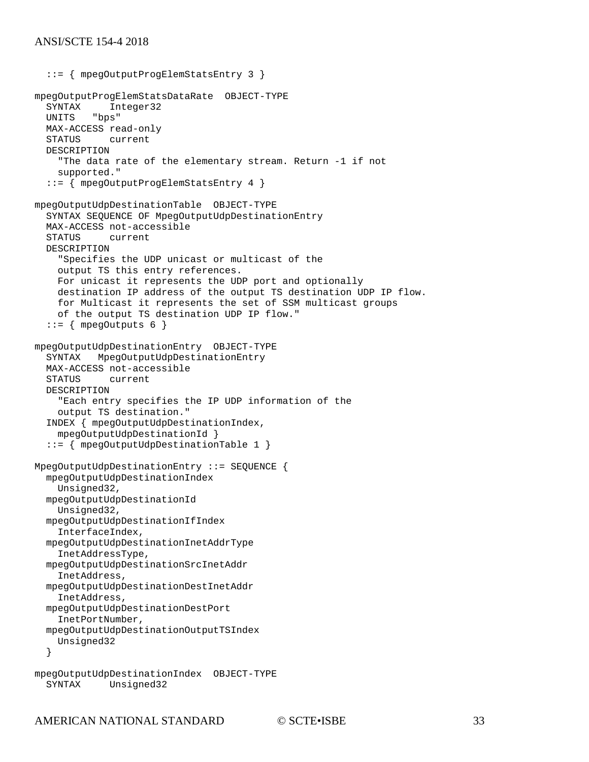```
 ::= { mpegOutputProgElemStatsEntry 3 }
mpegOutputProgElemStatsDataRate OBJECT-TYPE
  SYNTAX Integer32<br>UNITS "bps"
          "bps"
   MAX-ACCESS read-only
   STATUS current
   DESCRIPTION 
     "The data rate of the elementary stream. Return -1 if not
     supported."
   ::= { mpegOutputProgElemStatsEntry 4 }
mpegOutputUdpDestinationTable OBJECT-TYPE
   SYNTAX SEQUENCE OF MpegOutputUdpDestinationEntry
   MAX-ACCESS not-accessible
   STATUS current
   DESCRIPTION 
     "Specifies the UDP unicast or multicast of the 
     output TS this entry references.
     For unicast it represents the UDP port and optionally 
     destination IP address of the output TS destination UDP IP flow.
     for Multicast it represents the set of SSM multicast groups
     of the output TS destination UDP IP flow."
  ::= { mpegOutputs 6 }
mpegOutputUdpDestinationEntry OBJECT-TYPE
   SYNTAX MpegOutputUdpDestinationEntry
  MAX-ACCESS not-accessible<br>STATUS current
            current
   DESCRIPTION 
     "Each entry specifies the IP UDP information of the 
     output TS destination."
   INDEX { mpegOutputUdpDestinationIndex, 
     mpegOutputUdpDestinationId }
   ::= { mpegOutputUdpDestinationTable 1 }
MpegOutputUdpDestinationEntry ::= SEQUENCE {
   mpegOutputUdpDestinationIndex
     Unsigned32,
   mpegOutputUdpDestinationId
     Unsigned32,
   mpegOutputUdpDestinationIfIndex
     InterfaceIndex, 
   mpegOutputUdpDestinationInetAddrType
     InetAddressType,
   mpegOutputUdpDestinationSrcInetAddr
     InetAddress,
   mpegOutputUdpDestinationDestInetAddr
     InetAddress,
   mpegOutputUdpDestinationDestPort
     InetPortNumber,
   mpegOutputUdpDestinationOutputTSIndex
     Unsigned32
   } 
mpegOutputUdpDestinationIndex OBJECT-TYPE
             Unsigned32
```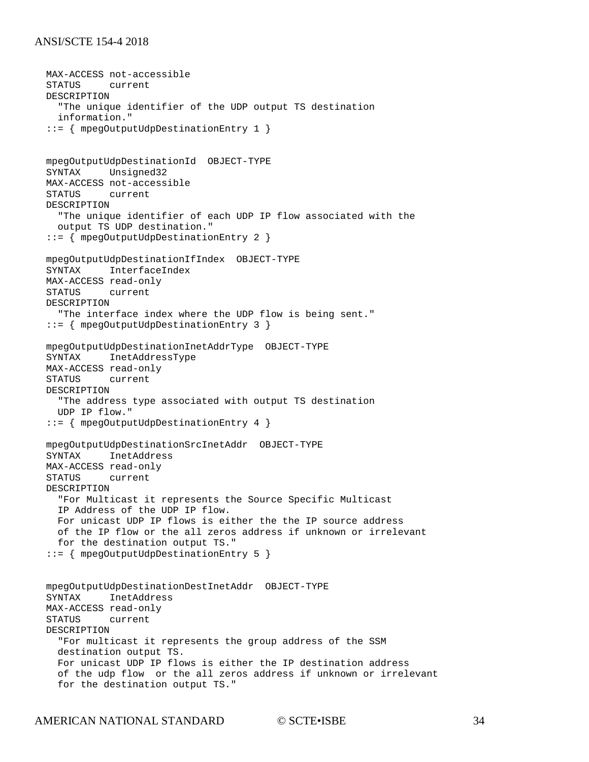```
MAX-ACCESS not-accessible<br>STATUS current
        current
 DESCRIPTION 
   "The unique identifier of the UDP output TS destination 
   information."
 ::= { mpegOutputUdpDestinationEntry 1 }
 mpegOutputUdpDestinationId OBJECT-TYPE
 SYNTAX Unsigned32
 MAX-ACCESS not-accessible
 STATUS current
 DESCRIPTION 
   "The unique identifier of each UDP IP flow associated with the 
   output TS UDP destination."
 ::= { mpegOutputUdpDestinationEntry 2 }
 mpegOutputUdpDestinationIfIndex OBJECT-TYPE
 SYNTAX InterfaceIndex
 MAX-ACCESS read-only
 STATUS current
 DESCRIPTION 
   "The interface index where the UDP flow is being sent."
 ::= { mpegOutputUdpDestinationEntry 3 }
 mpegOutputUdpDestinationInetAddrType OBJECT-TYPE
          InetAddressType
 MAX-ACCESS read-only
 STATUS current
 DESCRIPTION 
   "The address type associated with output TS destination 
   UDP IP flow."
 ::= { mpegOutputUdpDestinationEntry 4 }
 mpegOutputUdpDestinationSrcInetAddr OBJECT-TYPE
 SYNTAX InetAddress
MAX-ACCESS read-only<br>STATUS current
        current
 DESCRIPTION 
  "For Multicast it represents the Source Specific Multicast 
   IP Address of the UDP IP flow.
  For unicast UDP IP flows is either the the IP source address
  of the IP flow or the all zeros address if unknown or irrelevant
   for the destination output TS."
 ::= { mpegOutputUdpDestinationEntry 5 }
 mpegOutputUdpDestinationDestInetAddr OBJECT-TYPE
          InetAddress
 MAX-ACCESS read-only
 STATUS current
 DESCRIPTION 
   "For multicast it represents the group address of the SSM
   destination output TS.
   For unicast UDP IP flows is either the IP destination address
  of the udp flow or the all zeros address if unknown or irrelevant
   for the destination output TS."
```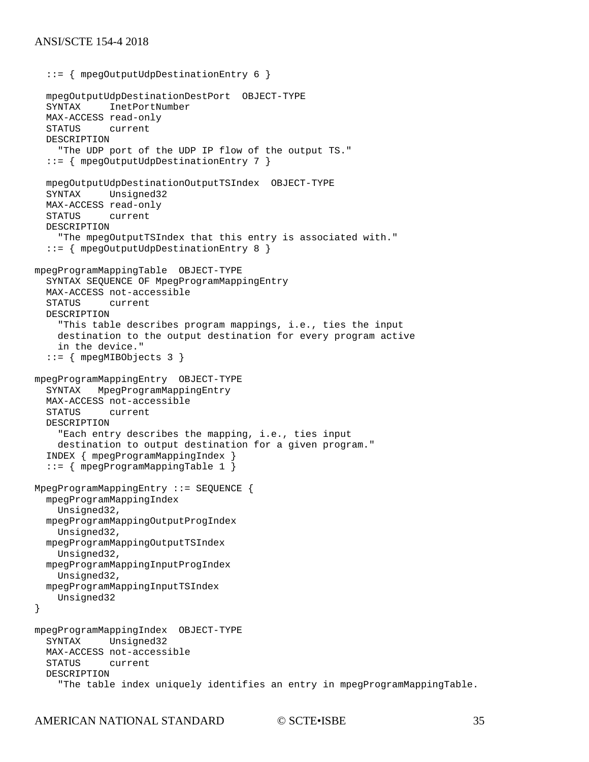```
 ::= { mpegOutputUdpDestinationEntry 6 }
   mpegOutputUdpDestinationDestPort OBJECT-TYPE
             InetPortNumber
   MAX-ACCESS read-only
   STATUS current
   DESCRIPTION 
     "The UDP port of the UDP IP flow of the output TS."
   ::= { mpegOutputUdpDestinationEntry 7 }
   mpegOutputUdpDestinationOutputTSIndex OBJECT-TYPE
            Unsigned32
  MAX-ACCESS read-only<br>STATUS current
             current
   DESCRIPTION 
     "The mpegOutputTSIndex that this entry is associated with."
   ::= { mpegOutputUdpDestinationEntry 8 }
mpegProgramMappingTable OBJECT-TYPE
   SYNTAX SEQUENCE OF MpegProgramMappingEntry
   MAX-ACCESS not-accessible
             current
   DESCRIPTION 
     "This table describes program mappings, i.e., ties the input
     destination to the output destination for every program active
     in the device."
   ::= { mpegMIBObjects 3 }
mpegProgramMappingEntry OBJECT-TYPE
          MpegProgramMappingEntry
   MAX-ACCESS not-accessible
             current
   DESCRIPTION 
     "Each entry describes the mapping, i.e., ties input
     destination to output destination for a given program."
   INDEX { mpegProgramMappingIndex }
   ::= { mpegProgramMappingTable 1 }
MpegProgramMappingEntry ::= SEQUENCE {
   mpegProgramMappingIndex
     Unsigned32,
   mpegProgramMappingOutputProgIndex
     Unsigned32,
   mpegProgramMappingOutputTSIndex
     Unsigned32,
   mpegProgramMappingInputProgIndex
     Unsigned32,
   mpegProgramMappingInputTSIndex
     Unsigned32
}
mpegProgramMappingIndex OBJECT-TYPE
   SYNTAX Unsigned32
   MAX-ACCESS not-accessible
             current
   DESCRIPTION 
     "The table index uniquely identifies an entry in mpegProgramMappingTable.
```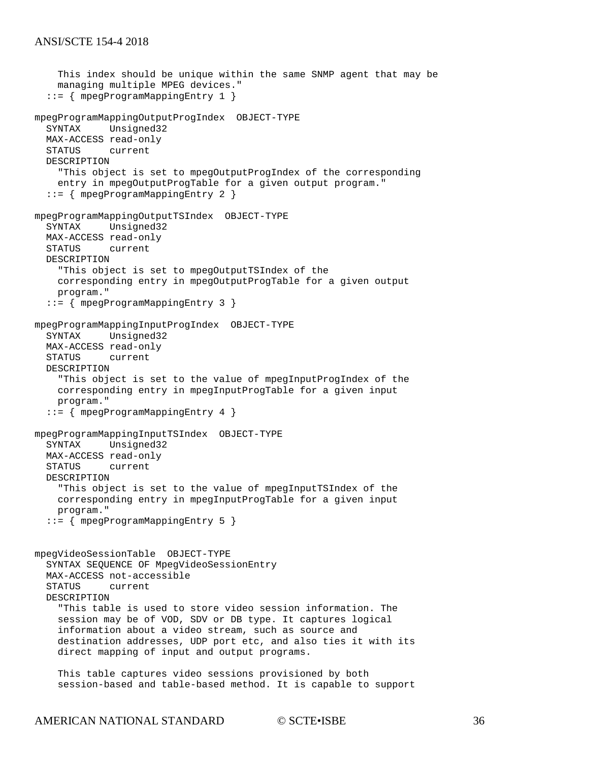```
 This index should be unique within the same SNMP agent that may be 
     managing multiple MPEG devices."
   ::= { mpegProgramMappingEntry 1 }
mpegProgramMappingOutputProgIndex OBJECT-TYPE
   SYNTAX Unsigned32
   MAX-ACCESS read-only
   STATUS current
   DESCRIPTION 
     "This object is set to mpegOutputProgIndex of the corresponding 
     entry in mpegOutputProgTable for a given output program."
   ::= { mpegProgramMappingEntry 2 }
mpegProgramMappingOutputTSIndex OBJECT-TYPE
           Unsigned32
  MAX-ACCESS read-only<br>STATUS current
          current
   DESCRIPTION 
     "This object is set to mpegOutputTSIndex of the
     corresponding entry in mpegOutputProgTable for a given output
     program."
   ::= { mpegProgramMappingEntry 3 }
mpegProgramMappingInputProgIndex OBJECT-TYPE
   SYNTAX Unsigned32
   MAX-ACCESS read-only
            current
   DESCRIPTION 
     "This object is set to the value of mpegInputProgIndex of the
     corresponding entry in mpegInputProgTable for a given input
     program."
   ::= { mpegProgramMappingEntry 4 }
mpegProgramMappingInputTSIndex OBJECT-TYPE
   SYNTAX Unsigned32
   MAX-ACCESS read-only
   STATUS current
   DESCRIPTION 
     "This object is set to the value of mpegInputTSIndex of the 
     corresponding entry in mpegInputProgTable for a given input 
     program."
   ::= { mpegProgramMappingEntry 5 }
mpegVideoSessionTable OBJECT-TYPE
   SYNTAX SEQUENCE OF MpegVideoSessionEntry
   MAX-ACCESS not-accessible
             current
   DESCRIPTION 
     "This table is used to store video session information. The
     session may be of VOD, SDV or DB type. It captures logical 
     information about a video stream, such as source and
     destination addresses, UDP port etc, and also ties it with its
     direct mapping of input and output programs.
     This table captures video sessions provisioned by both
```
session-based and table-based method. It is capable to support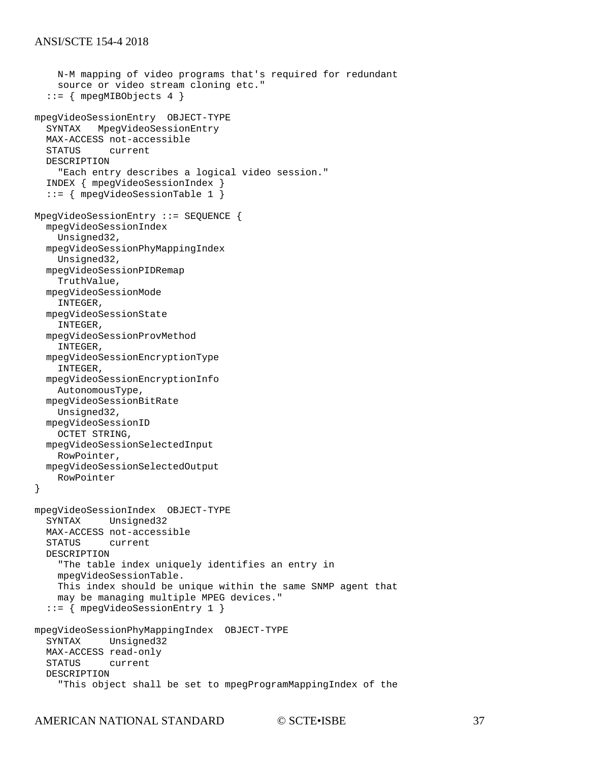```
 N-M mapping of video programs that's required for redundant
     source or video stream cloning etc."
   ::= { mpegMIBObjects 4 }
mpegVideoSessionEntry OBJECT-TYPE
   SYNTAX MpegVideoSessionEntry
  MAX-ACCESS not-accessible<br>STATUS current
            current
   DESCRIPTION 
     "Each entry describes a logical video session."
   INDEX { mpegVideoSessionIndex }
   ::= { mpegVideoSessionTable 1 }
MpegVideoSessionEntry ::= SEQUENCE {
   mpegVideoSessionIndex
     Unsigned32,
   mpegVideoSessionPhyMappingIndex
     Unsigned32,
   mpegVideoSessionPIDRemap
     TruthValue, 
   mpegVideoSessionMode
     INTEGER,
   mpegVideoSessionState
     INTEGER,
   mpegVideoSessionProvMethod
     INTEGER,
   mpegVideoSessionEncryptionType
     INTEGER, 
   mpegVideoSessionEncryptionInfo
     AutonomousType,
   mpegVideoSessionBitRate
     Unsigned32,
   mpegVideoSessionID
     OCTET STRING,
   mpegVideoSessionSelectedInput
     RowPointer,
   mpegVideoSessionSelectedOutput
     RowPointer
}
mpegVideoSessionIndex OBJECT-TYPE
            Unsigned32
   MAX-ACCESS not-accessible
   STATUS current
   DESCRIPTION 
     "The table index uniquely identifies an entry in 
     mpegVideoSessionTable.
     This index should be unique within the same SNMP agent that
     may be managing multiple MPEG devices."
   ::= { mpegVideoSessionEntry 1 }
mpegVideoSessionPhyMappingIndex OBJECT-TYPE
   SYNTAX Unsigned32
   MAX-ACCESS read-only
             current
   DESCRIPTION 
     "This object shall be set to mpegProgramMappingIndex of the
```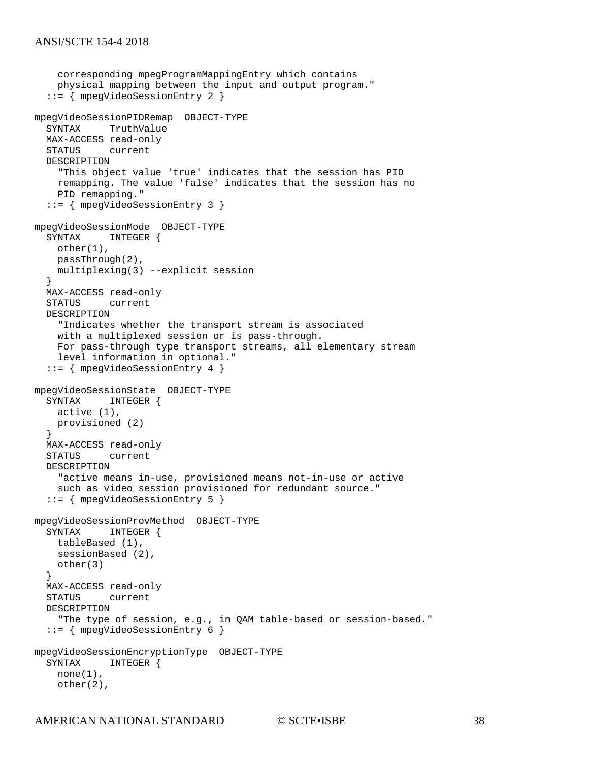```
 corresponding mpegProgramMappingEntry which contains
     physical mapping between the input and output program."
   ::= { mpegVideoSessionEntry 2 }
mpegVideoSessionPIDRemap OBJECT-TYPE
   SYNTAX TruthValue
   MAX-ACCESS read-only
   STATUS current
   DESCRIPTION 
     "This object value 'true' indicates that the session has PID
     remapping. The value 'false' indicates that the session has no
     PID remapping."
   ::= { mpegVideoSessionEntry 3 }
mpegVideoSessionMode OBJECT-TYPE
            INTEGER {
     other(1),
     passThrough(2),
     multiplexing(3) --explicit session
   }
  MAX-ACCESS read-only<br>STATUS current
          current
   DESCRIPTION 
     "Indicates whether the transport stream is associated
     with a multiplexed session or is pass-through.
     For pass-through type transport streams, all elementary stream
     level information in optional."
   ::= { mpegVideoSessionEntry 4 }
mpegVideoSessionState OBJECT-TYPE
            INTEGER {
     active (1),
     provisioned (2)
   }
  MAX-ACCESS read-only<br>STATUS current
          current
   DESCRIPTION 
     "active means in-use, provisioned means not-in-use or active 
     such as video session provisioned for redundant source."
   ::= { mpegVideoSessionEntry 5 }
mpegVideoSessionProvMethod OBJECT-TYPE
   SYNTAX INTEGER {
     tableBased (1),
     sessionBased (2),
     other(3)
   }
  MAX-ACCESS read-only<br>STATUS current
            current
   DESCRIPTION 
     "The type of session, e.g., in QAM table-based or session-based."
   ::= { mpegVideoSessionEntry 6 }
mpegVideoSessionEncryptionType OBJECT-TYPE
             INTEGER {
    none(1),
     other(2),
```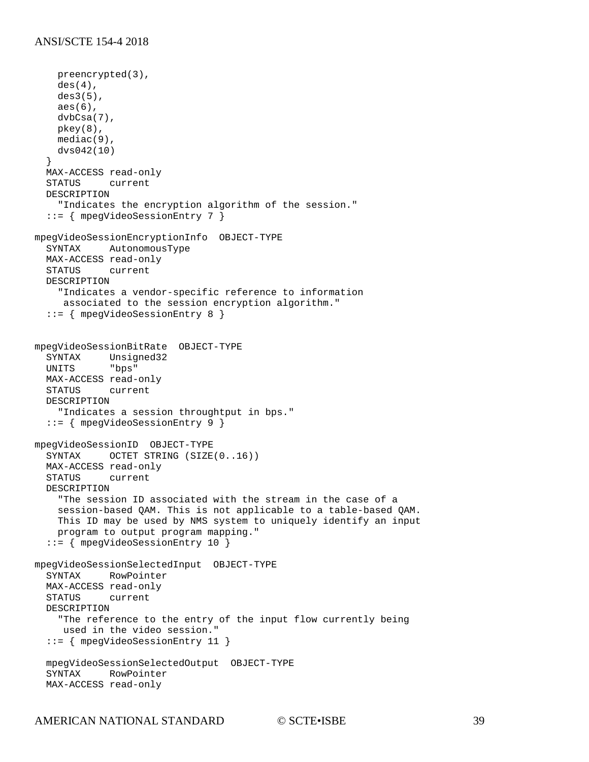```
 preencrypted(3),
     des(4),
     des3(5),
     aes(6),
     dvbCsa(7),
     pkey(8),
     mediac(9),
     dvs042(10)
   }
   MAX-ACCESS read-only
          current
   DESCRIPTION 
     "Indicates the encryption algorithm of the session."
   ::= { mpegVideoSessionEntry 7 }
mpegVideoSessionEncryptionInfo OBJECT-TYPE
   SYNTAX AutonomousType
   MAX-ACCESS read-only
   STATUS current
   DESCRIPTION 
     "Indicates a vendor-specific reference to information 
     associated to the session encryption algorithm."
   ::= { mpegVideoSessionEntry 8 }
mpegVideoSessionBitRate OBJECT-TYPE
   SYNTAX Unsigned32
   UNITS "bps"
   MAX-ACCESS read-only
   STATUS current
   DESCRIPTION 
     "Indicates a session throughtput in bps."
   ::= { mpegVideoSessionEntry 9 }
mpegVideoSessionID OBJECT-TYPE
   SYNTAX OCTET STRING (SIZE(0..16))
   MAX-ACCESS read-only
   STATUS current
   DESCRIPTION 
     "The session ID associated with the stream in the case of a
     session-based QAM. This is not applicable to a table-based QAM.
     This ID may be used by NMS system to uniquely identify an input 
     program to output program mapping."
   ::= { mpegVideoSessionEntry 10 }
mpegVideoSessionSelectedInput OBJECT-TYPE
   SYNTAX RowPointer
  MAX-ACCESS read-only<br>STATUS current
          current
   DESCRIPTION 
     "The reference to the entry of the input flow currently being
     used in the video session."
   ::= { mpegVideoSessionEntry 11 }
   mpegVideoSessionSelectedOutput OBJECT-TYPE
           RowPointer
   MAX-ACCESS read-only
```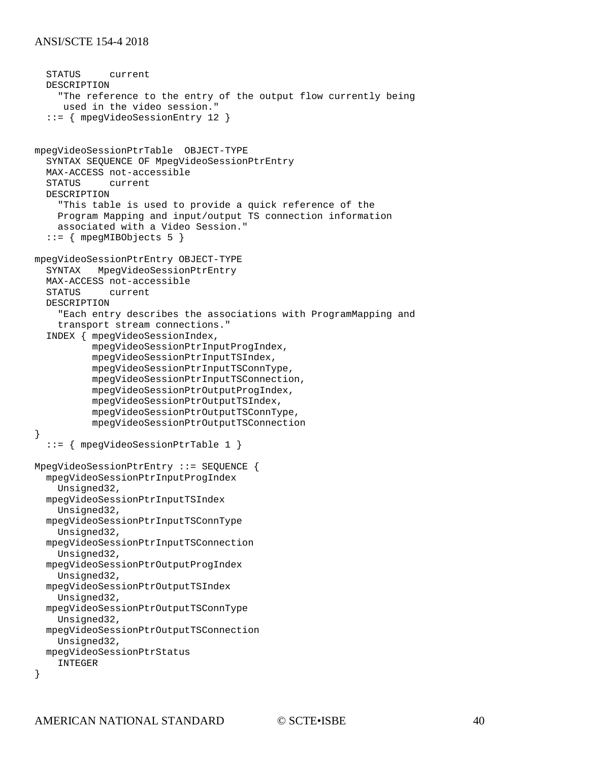```
 STATUS current
   DESCRIPTION 
     "The reference to the entry of the output flow currently being
      used in the video session."
   ::= { mpegVideoSessionEntry 12 }
mpegVideoSessionPtrTable OBJECT-TYPE
   SYNTAX SEQUENCE OF MpegVideoSessionPtrEntry
   MAX-ACCESS not-accessible
             current
   DESCRIPTION 
     "This table is used to provide a quick reference of the 
     Program Mapping and input/output TS connection information 
     associated with a Video Session."
   ::= { mpegMIBObjects 5 }
mpegVideoSessionPtrEntry OBJECT-TYPE
          MpegVideoSessionPtrEntry
   MAX-ACCESS not-accessible
            current
   DESCRIPTION 
     "Each entry describes the associations with ProgramMapping and
     transport stream connections."
   INDEX { mpegVideoSessionIndex,
           mpegVideoSessionPtrInputProgIndex,
           mpegVideoSessionPtrInputTSIndex,
           mpegVideoSessionPtrInputTSConnType,
           mpegVideoSessionPtrInputTSConnection, 
           mpegVideoSessionPtrOutputProgIndex,
           mpegVideoSessionPtrOutputTSIndex,
           mpegVideoSessionPtrOutputTSConnType,
           mpegVideoSessionPtrOutputTSConnection
}
   ::= { mpegVideoSessionPtrTable 1 }
MpegVideoSessionPtrEntry ::= SEQUENCE {
   mpegVideoSessionPtrInputProgIndex
     Unsigned32,
   mpegVideoSessionPtrInputTSIndex
     Unsigned32, 
   mpegVideoSessionPtrInputTSConnType
     Unsigned32,
   mpegVideoSessionPtrInputTSConnection
    Unsigned32,
   mpegVideoSessionPtrOutputProgIndex
     Unsigned32, 
   mpegVideoSessionPtrOutputTSIndex
     Unsigned32,
   mpegVideoSessionPtrOutputTSConnType
     Unsigned32, 
   mpegVideoSessionPtrOutputTSConnection
     Unsigned32,
   mpegVideoSessionPtrStatus
     INTEGER
}
```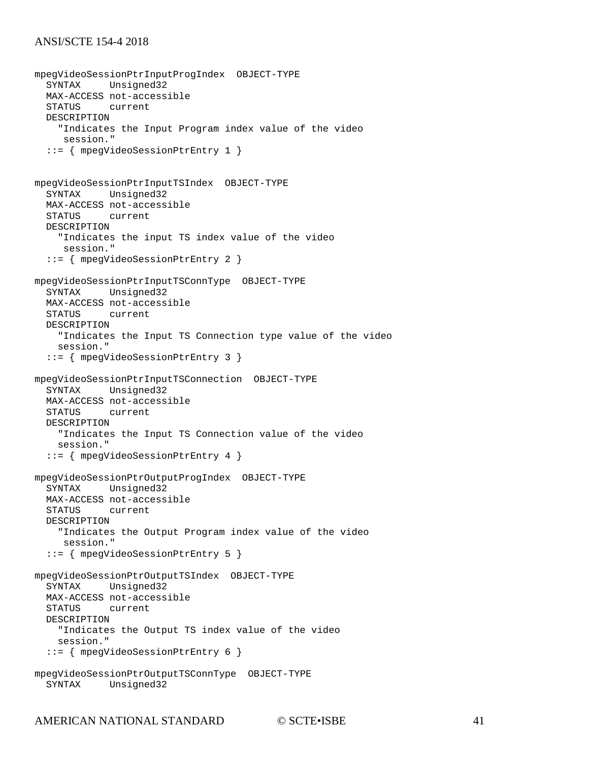```
mpegVideoSessionPtrInputProgIndex OBJECT-TYPE
           Unsigned32
  MAX-ACCESS not-accessible<br>STATUS current
          current
   DESCRIPTION 
     "Indicates the Input Program index value of the video
     session."
   ::= { mpegVideoSessionPtrEntry 1 }
mpegVideoSessionPtrInputTSIndex OBJECT-TYPE
           Unsigned32
  MAX-ACCESS not-accessible<br>STATUS current
            current
   DESCRIPTION 
     "Indicates the input TS index value of the video
      session."
   ::= { mpegVideoSessionPtrEntry 2 }
mpegVideoSessionPtrInputTSConnType OBJECT-TYPE
   SYNTAX Unsigned32
  MAX-ACCESS not-accessible<br>STATUS current
          current
   DESCRIPTION 
     "Indicates the Input TS Connection type value of the video 
     session."
   ::= { mpegVideoSessionPtrEntry 3 }
mpegVideoSessionPtrInputTSConnection OBJECT-TYPE
   SYNTAX Unsigned32
  MAX-ACCESS not-accessible<br>STATUS current
           current
   DESCRIPTION 
     "Indicates the Input TS Connection value of the video 
     session."
   ::= { mpegVideoSessionPtrEntry 4 }
mpegVideoSessionPtrOutputProgIndex OBJECT-TYPE
   SYNTAX Unsigned32
  MAX-ACCESS not-accessible<br>STATUS current
          current
   DESCRIPTION 
     "Indicates the Output Program index value of the video
      session."
   ::= { mpegVideoSessionPtrEntry 5 }
mpegVideoSessionPtrOutputTSIndex OBJECT-TYPE
   SYNTAX Unsigned32
   MAX-ACCESS not-accessible
   STATUS current
   DESCRIPTION 
     "Indicates the Output TS index value of the video 
     session."
   ::= { mpegVideoSessionPtrEntry 6 }
mpegVideoSessionPtrOutputTSConnType OBJECT-TYPE
   SYNTAX Unsigned32
```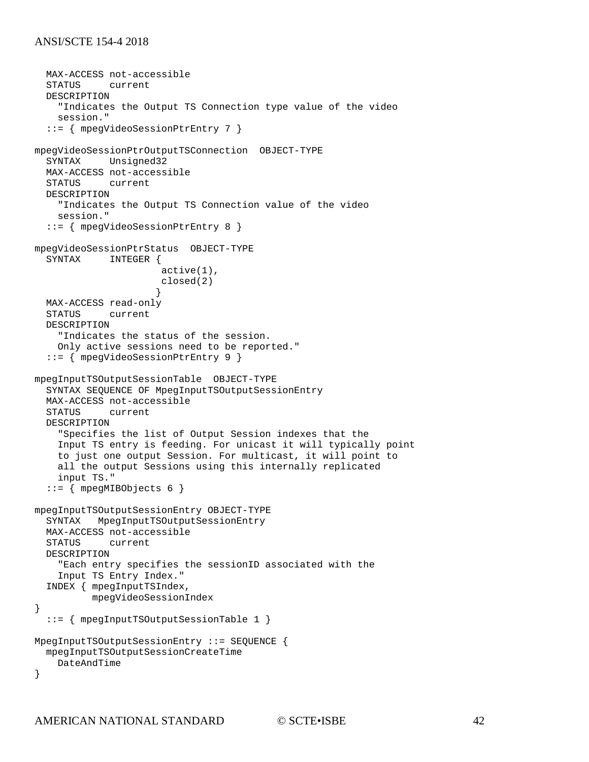```
 MAX-ACCESS not-accessible
            current
   DESCRIPTION 
     "Indicates the Output TS Connection type value of the video 
     session."
   ::= { mpegVideoSessionPtrEntry 7 }
mpegVideoSessionPtrOutputTSConnection OBJECT-TYPE
           Unsigned32
   MAX-ACCESS not-accessible
             current
   DESCRIPTION 
     "Indicates the Output TS Connection value of the video 
     session."
   ::= { mpegVideoSessionPtrEntry 8 }
mpegVideoSessionPtrStatus OBJECT-TYPE<br>SYNTAX INTEGER {
             INTEGER {
                        active(1),
                        closed(2)
 }
 MAX-ACCESS read-only
   STATUS current
   DESCRIPTION 
     "Indicates the status of the session.
     Only active sessions need to be reported."
   ::= { mpegVideoSessionPtrEntry 9 }
mpegInputTSOutputSessionTable OBJECT-TYPE
   SYNTAX SEQUENCE OF MpegInputTSOutputSessionEntry
  MAX-ACCESS not-accessible<br>STATUS current
             current
   DESCRIPTION 
     "Specifies the list of Output Session indexes that the
     Input TS entry is feeding. For unicast it will typically point
     to just one output Session. For multicast, it will point to
     all the output Sessions using this internally replicated
     input TS."
  ::= { mpeqMIBObjects 6 }
mpegInputTSOutputSessionEntry OBJECT-TYPE
   SYNTAX MpegInputTSOutputSessionEntry
   MAX-ACCESS not-accessible
   STATUS current
   DESCRIPTION 
     "Each entry specifies the sessionID associated with the
     Input TS Entry Index."
   INDEX { mpegInputTSIndex,
           mpegVideoSessionIndex
}
   ::= { mpegInputTSOutputSessionTable 1 }
MpegInputTSOutputSessionEntry ::= SEQUENCE {
   mpegInputTSOutputSessionCreateTime
     DateAndTime
}
```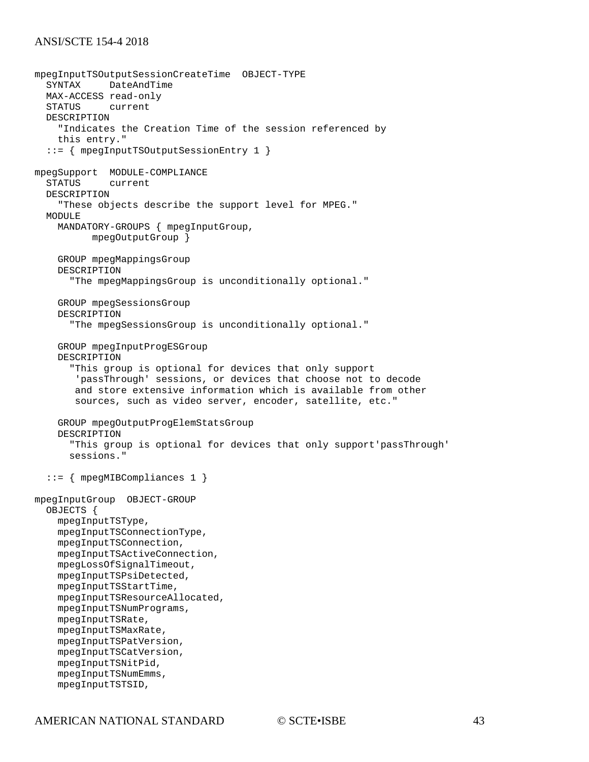```
mpegInputTSOutputSessionCreateTime OBJECT-TYPE
           DateAndTime
  MAX-ACCESS read-only<br>STATUS current
          current
   DESCRIPTION 
     "Indicates the Creation Time of the session referenced by 
     this entry."
   ::= { mpegInputTSOutputSessionEntry 1 }
mpegSupport MODULE-COMPLIANCE
             current
   DESCRIPTION 
     "These objects describe the support level for MPEG."
  M\bigcapIIIIF MANDATORY-GROUPS { mpegInputGroup,
           mpegOutputGroup } 
     GROUP mpegMappingsGroup
     DESCRIPTION 
       "The mpegMappingsGroup is unconditionally optional."
     GROUP mpegSessionsGroup
     DESCRIPTION 
       "The mpegSessionsGroup is unconditionally optional."
     GROUP mpegInputProgESGroup
     DESCRIPTION 
       "This group is optional for devices that only support
         'passThrough' sessions, or devices that choose not to decode
        and store extensive information which is available from other
        sources, such as video server, encoder, satellite, etc."
     GROUP mpegOutputProgElemStatsGroup
     DESCRIPTION 
       "This group is optional for devices that only support'passThrough'
       sessions."
   ::= { mpegMIBCompliances 1 }
mpegInputGroup OBJECT-GROUP
   OBJECTS { 
     mpegInputTSType, 
     mpegInputTSConnectionType, 
     mpegInputTSConnection, 
     mpegInputTSActiveConnection, 
     mpegLossOfSignalTimeout, 
     mpegInputTSPsiDetected, 
     mpegInputTSStartTime, 
     mpegInputTSResourceAllocated, 
     mpegInputTSNumPrograms, 
     mpegInputTSRate, 
     mpegInputTSMaxRate, 
     mpegInputTSPatVersion, 
     mpegInputTSCatVersion, 
     mpegInputTSNitPid, 
     mpegInputTSNumEmms, 
     mpegInputTSTSID,
```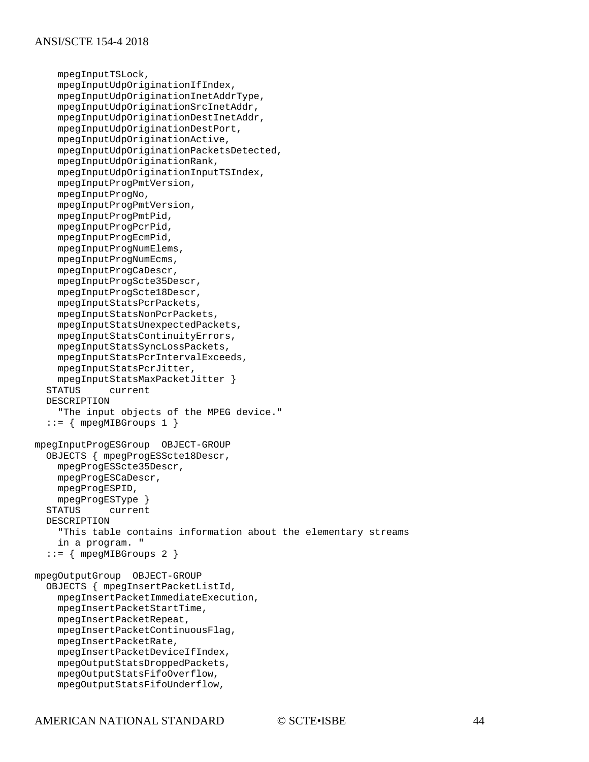```
 mpegInputTSLock,
     mpegInputUdpOriginationIfIndex,
     mpegInputUdpOriginationInetAddrType,
     mpegInputUdpOriginationSrcInetAddr,
     mpegInputUdpOriginationDestInetAddr,
     mpegInputUdpOriginationDestPort,
     mpegInputUdpOriginationActive,
     mpegInputUdpOriginationPacketsDetected,
     mpegInputUdpOriginationRank,
     mpegInputUdpOriginationInputTSIndex,
     mpegInputProgPmtVersion, 
     mpegInputProgNo,
     mpegInputProgPmtVersion, 
     mpegInputProgPmtPid, 
     mpegInputProgPcrPid, 
     mpegInputProgEcmPid, 
     mpegInputProgNumElems, 
     mpegInputProgNumEcms, 
     mpegInputProgCaDescr, 
     mpegInputProgScte35Descr, 
     mpegInputProgScte18Descr, 
     mpegInputStatsPcrPackets, 
     mpegInputStatsNonPcrPackets, 
     mpegInputStatsUnexpectedPackets, 
     mpegInputStatsContinuityErrors, 
     mpegInputStatsSyncLossPackets,
     mpegInputStatsPcrIntervalExceeds, 
     mpegInputStatsPcrJitter, 
  mpegInputStatsMaxPacketJitter }<br>STATUS current
             current
   DESCRIPTION 
     "The input objects of the MPEG device."
  ::= { mpegMIBGroups 1 }
mpegInputProgESGroup OBJECT-GROUP
   OBJECTS { mpegProgESScte18Descr, 
     mpegProgESScte35Descr, 
     mpegProgESCaDescr, 
     mpegProgESPID, 
  mpegProgESType }<br>STATUS current
              current
   DESCRIPTION 
     "This table contains information about the elementary streams
     in a program. "
   ::= { mpegMIBGroups 2 }
mpegOutputGroup OBJECT-GROUP
   OBJECTS { mpegInsertPacketListId, 
     mpegInsertPacketImmediateExecution, 
     mpegInsertPacketStartTime, 
     mpegInsertPacketRepeat, 
     mpegInsertPacketContinuousFlag, 
     mpegInsertPacketRate, 
     mpegInsertPacketDeviceIfIndex, 
     mpegOutputStatsDroppedPackets, 
     mpegOutputStatsFifoOverflow,
     mpegOutputStatsFifoUnderflow,
```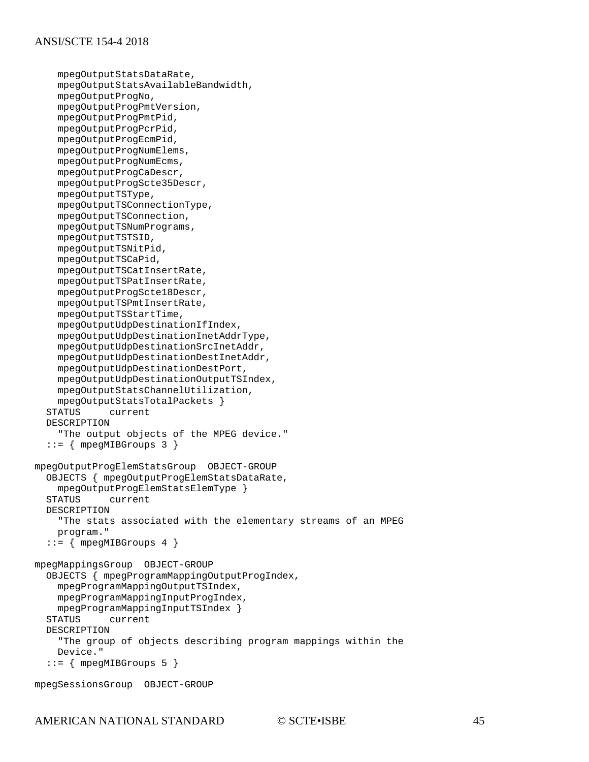```
 mpegOutputStatsDataRate, 
     mpegOutputStatsAvailableBandwidth, 
     mpegOutputProgNo,
     mpegOutputProgPmtVersion, 
     mpegOutputProgPmtPid, 
     mpegOutputProgPcrPid, 
     mpegOutputProgEcmPid, 
     mpegOutputProgNumElems, 
     mpegOutputProgNumEcms, 
     mpegOutputProgCaDescr, 
     mpegOutputProgScte35Descr, 
     mpegOutputTSType, 
     mpegOutputTSConnectionType, 
     mpegOutputTSConnection, 
     mpegOutputTSNumPrograms, 
     mpegOutputTSTSID, 
     mpegOutputTSNitPid, 
     mpegOutputTSCaPid, 
     mpegOutputTSCatInsertRate, 
     mpegOutputTSPatInsertRate, 
     mpegOutputProgScte18Descr, 
     mpegOutputTSPmtInsertRate, 
     mpegOutputTSStartTime,
     mpegOutputUdpDestinationIfIndex,
     mpegOutputUdpDestinationInetAddrType,
     mpegOutputUdpDestinationSrcInetAddr,
     mpegOutputUdpDestinationDestInetAddr,
     mpegOutputUdpDestinationDestPort,
     mpegOutputUdpDestinationOutputTSIndex,
     mpegOutputStatsChannelUtilization, 
  mpegOutputStatsTotalPackets }<br>STATUS current
              current
   DESCRIPTION 
     "The output objects of the MPEG device."
   ::= { mpegMIBGroups 3 }
mpegOutputProgElemStatsGroup OBJECT-GROUP
   OBJECTS { mpegOutputProgElemStatsDataRate, 
  mpegOutputProgElemStatsElemType }<br>STATUS current
              current
   DESCRIPTION 
     "The stats associated with the elementary streams of an MPEG
     program."
  ::= { mpegMIBGroups 4 }
mpegMappingsGroup OBJECT-GROUP
   OBJECTS { mpegProgramMappingOutputProgIndex, 
     mpegProgramMappingOutputTSIndex,
     mpegProgramMappingInputProgIndex, 
   mpegProgramMappingInputTSIndex }
              current
   DESCRIPTION 
     "The group of objects describing program mappings within the
     Device."
  ::= { mpegMIBGroups 5 }
```

```
mpegSessionsGroup OBJECT-GROUP
```